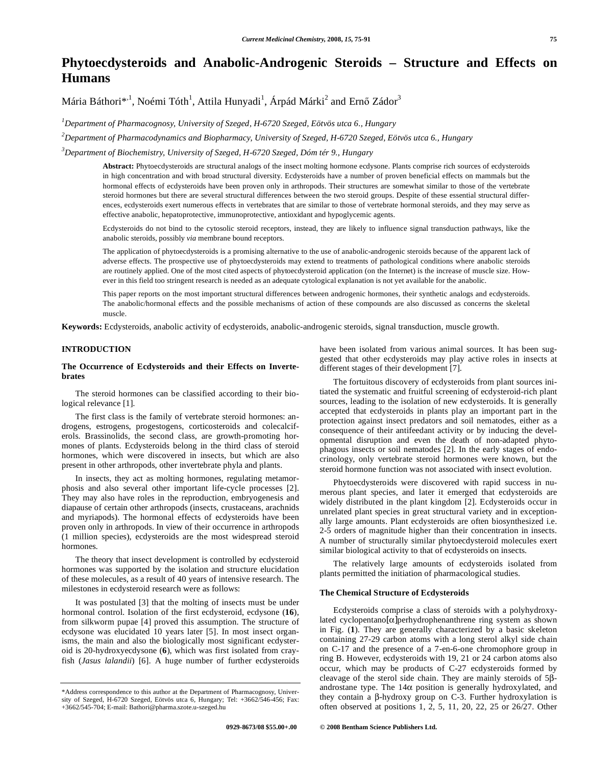# **Phytoecdysteroids and Anabolic-Androgenic Steroids – Structure and Effects on Humans**

Mária Báthori $^{\ast,1}$ , Noémi Tóth $^1$ , Attila Hunyadi $^1$ , Árpád Márki $^2$  and Ernő Zádor $^3$ 

*1 Department of Pharmacognosy, University of Szeged, H-6720 Szeged, Eötvös utca 6., Hungary* 

*2 Department of Pharmacodynamics and Biopharmacy, University of Szeged, H-6720 Szeged, Eötvös utca 6., Hungary* 

*3 Department of Biochemistry, University of Szeged, H-6720 Szeged, Dóm tér 9., Hungary* 

**Abstract:** Phytoecdysteroids are structural analogs of the insect molting hormone ecdysone. Plants comprise rich sources of ecdysteroids in high concentration and with broad structural diversity. Ecdysteroids have a number of proven beneficial effects on mammals but the hormonal effects of ecdysteroids have been proven only in arthropods. Their structures are somewhat similar to those of the vertebrate steroid hormones but there are several structural differences between the two steroid groups. Despite of these essential structural differences, ecdysteroids exert numerous effects in vertebrates that are similar to those of vertebrate hormonal steroids, and they may serve as effective anabolic, hepatoprotective, immunoprotective, antioxidant and hypoglycemic agents.

Ecdysteroids do not bind to the cytosolic steroid receptors, instead, they are likely to influence signal transduction pathways, like the anabolic steroids, possibly *via* membrane bound receptors.

The application of phytoecdysteroids is a promising alternative to the use of anabolic-androgenic steroids because of the apparent lack of adverse effects. The prospective use of phytoecdysteroids may extend to treatments of pathological conditions where anabolic steroids are routinely applied. One of the most cited aspects of phytoecdysteroid application (on the Internet) is the increase of muscle size. However in this field too stringent research is needed as an adequate cytological explanation is not yet available for the anabolic.

This paper reports on the most important structural differences between androgenic hormones, their synthetic analogs and ecdysteroids. The anabolic/hormonal effects and the possible mechanisms of action of these compounds are also discussed as concerns the skeletal muscle.

**Keywords:** Ecdysteroids, anabolic activity of ecdysteroids, anabolic-androgenic steroids, signal transduction, muscle growth.

## **INTRODUCTION**

# **The Occurrence of Ecdysteroids and their Effects on Invertebrates**

The steroid hormones can be classified according to their biological relevance [1].

The first class is the family of vertebrate steroid hormones: androgens, estrogens, progestogens, corticosteroids and colecalciferols. Brassinolids, the second class, are growth-promoting hormones of plants. Ecdysteroids belong in the third class of steroid hormones, which were discovered in insects, but which are also present in other arthropods, other invertebrate phyla and plants.

In insects, they act as molting hormones, regulating metamorphosis and also several other important life-cycle processes [2]. They may also have roles in the reproduction, embryogenesis and diapause of certain other arthropods (insects, crustaceans, arachnids and myriapods). The hormonal effects of ecdysteroids have been proven only in arthropods. In view of their occurrence in arthropods (1 million species), ecdysteroids are the most widespread steroid hormones.

The theory that insect development is controlled by ecdysteroid hormones was supported by the isolation and structure elucidation of these molecules, as a result of 40 years of intensive research. The milestones in ecdysteroid research were as follows:

It was postulated [3] that the molting of insects must be under hormonal control. Isolation of the first ecdysteroid, ecdysone (**16**), from silkworm pupae [4] proved this assumption. The structure of ecdysone was elucidated 10 years later [5]. In most insect organisms, the main and also the biologically most significant ecdysteroid is 20-hydroxyecdysone (**6**), which was first isolated from crayfish (*Jasus lalandii*) [6]. A huge number of further ecdysteroids

have been isolated from various animal sources. It has been suggested that other ecdysteroids may play active roles in insects at different stages of their development [7].

The fortuitous discovery of ecdysteroids from plant sources initiated the systematic and fruitful screening of ecdysteroid-rich plant sources, leading to the isolation of new ecdysteroids. It is generally accepted that ecdysteroids in plants play an important part in the protection against insect predators and soil nematodes, either as a consequence of their antifeedant activity or by inducing the developmental disruption and even the death of non-adapted phytophagous insects or soil nematodes [2]. In the early stages of endocrinology, only vertebrate steroid hormones were known, but the steroid hormone function was not associated with insect evolution.

Phytoecdysteroids were discovered with rapid success in numerous plant species, and later it emerged that ecdysteroids are widely distributed in the plant kingdom [2]. Ecdysteroids occur in unrelated plant species in great structural variety and in exceptionally large amounts. Plant ecdysteroids are often biosynthesized i.e. 2-5 orders of magnitude higher than their concentration in insects. A number of structurally similar phytoecdysteroid molecules exert similar biological activity to that of ecdysteroids on insects.

The relatively large amounts of ecdysteroids isolated from plants permitted the initiation of pharmacological studies.

#### **The Chemical Structure of Ecdysteroids**

Ecdysteroids comprise a class of steroids with a polyhydroxylated cyclopentano[ $\alpha$ ]perhydrophenanthrene ring system as shown in Fig. (**1**). They are generally characterized by a basic skeleton containing 27-29 carbon atoms with a long sterol alkyl side chain on C-17 and the presence of a 7-en-6-one chromophore group in ring B. However, ecdysteroids with 19, 21 or 24 carbon atoms also occur, which may be products of C-27 ecdysteroids formed by cleavage of the sterol side chain. They are mainly steroids of  $5\beta$ androstane type. The  $14\alpha$  position is generally hydroxylated, and they contain a  $\beta$ -hydroxy group on C-3. Further hydroxylation is often observed at positions 1, 2, 5, 11, 20, 22, 25 or 26/27. Other

<sup>\*</sup>Address correspondence to this author at the Department of Pharmacognosy, University of Szeged, H-6720 Szeged, Eötvös utca 6, Hungary; Tel: +3662/546-456; Fax: +3662/545-704; E-mail: Bathori@pharma.szote.u-szeged.hu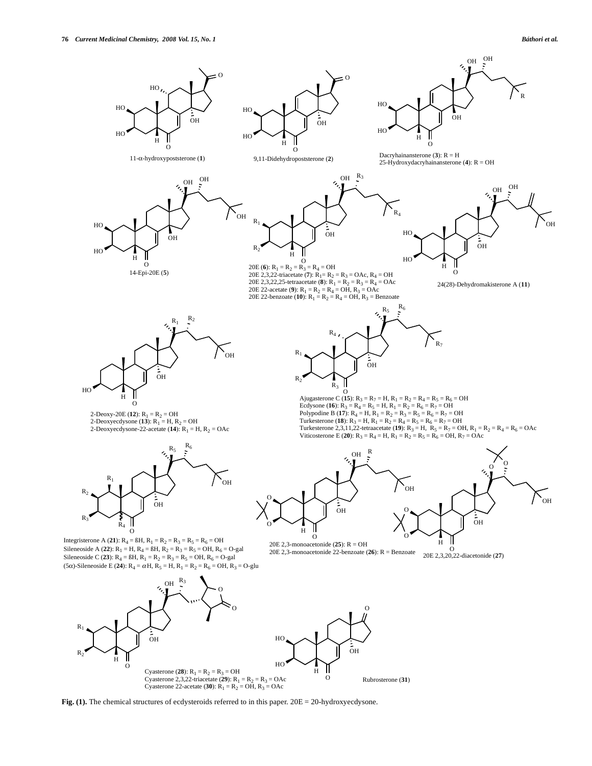HO

 $R<sub>2</sub>$ 

R3





Fig. (1). The chemical structures of ecdysteroids referred to in this paper. 20E = 20-hydroxyecdysone.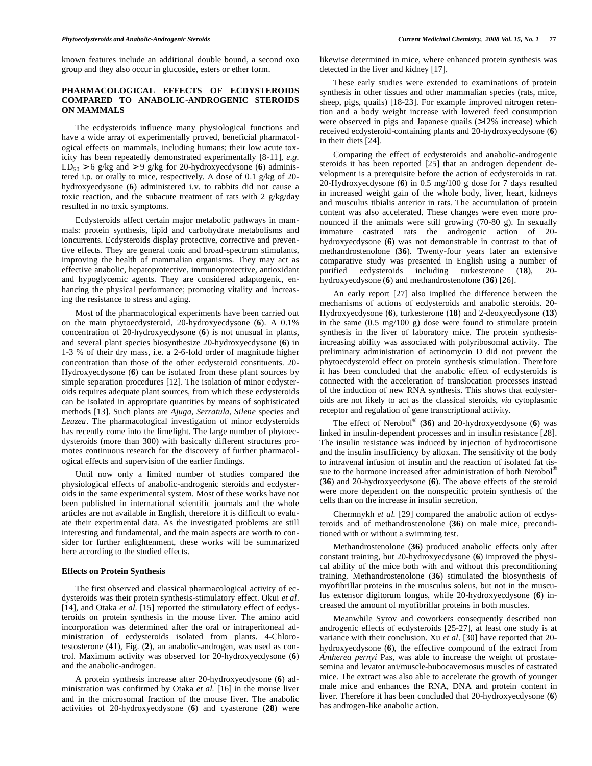known features include an additional double bound, a second oxo group and they also occur in glucoside, esters or ether form.

# **PHARMACOLOGICAL EFFECTS OF ECDYSTEROIDS COMPARED TO ANABOLIC-ANDROGENIC STEROIDS ON MAMMALS**

The ecdysteroids influence many physiological functions and have a wide array of experimentally proved, beneficial pharmacological effects on mammals, including humans; their low acute toxicity has been repeatedly demonstrated experimentally [8-11], *e.g.*  $LD_{50} > 6$  g/kg and  $> 9$  g/kg for 20-hydroxyecdysone (6) administered i.p. or orally to mice, respectively. A dose of 0.1 g/kg of 20 hydroxyecdysone (**6**) administered i.v. to rabbits did not cause a toxic reaction, and the subacute treatment of rats with 2 g/kg/day resulted in no toxic symptoms.

Ecdysteroids affect certain major metabolic pathways in mammals: protein synthesis, lipid and carbohydrate metabolisms and ioncurrents. Ecdysteroids display protective, corrective and preventive effects. They are general tonic and broad-spectrum stimulants, improving the health of mammalian organisms. They may act as effective anabolic, hepatoprotective, immunoprotective, antioxidant and hypoglycemic agents. They are considered adaptogenic, enhancing the physical performance; promoting vitality and increasing the resistance to stress and aging.

Most of the pharmacological experiments have been carried out on the main phytoecdysteroid, 20-hydroxyecdysone (**6**). A 0.1% concentration of 20-hydroxyecdysone (**6**) is not unusual in plants, and several plant species biosynthesize 20-hydroxyecdysone (**6**) in 1-3 % of their dry mass, i.e. a 2-6-fold order of magnitude higher concentration than those of the other ecdysteroid constituents. 20- Hydroxyecdysone (**6**) can be isolated from these plant sources by simple separation procedures [12]. The isolation of minor ecdysteroids requires adequate plant sources, from which these ecdysteroids can be isolated in appropriate quantities by means of sophisticated methods [13]. Such plants are *Ajuga, Serratula, Silene* species and *Leuzea*. The pharmacological investigation of minor ecdysteroids has recently come into the limelight. The large number of phytoecdysteroids (more than 300) with basically different structures promotes continuous research for the discovery of further pharmacological effects and supervision of the earlier findings.

Until now only a limited number of studies compared the physiological effects of anabolic-androgenic steroids and ecdysteroids in the same experimental system. Most of these works have not been published in international scientific journals and the whole articles are not available in English, therefore it is difficult to evaluate their experimental data. As the investigated problems are still interesting and fundamental, and the main aspects are worth to consider for further enlightenment, these works will be summarized here according to the studied effects.

#### **Effects on Protein Synthesis**

The first observed and classical pharmacological activity of ecdysteroids was their protein synthesis-stimulatory effect. Okui *et al*. [14], and Otaka *et al.* [15] reported the stimulatory effect of ecdysteroids on protein synthesis in the mouse liver. The amino acid incorporation was determined after the oral or intraperitoneal administration of ecdysteroids isolated from plants. 4-Chlorotestosterone (**41**), Fig. (**2**), an anabolic-androgen, was used as control. Maximum activity was observed for 20-hydroxyecdysone (**6**) and the anabolic-androgen.

A protein synthesis increase after 20-hydroxyecdysone (**6**) administration was confirmed by Otaka *et al.* [16] in the mouse liver and in the microsomal fraction of the mouse liver. The anabolic activities of 20-hydroxyecdysone (**6**) and cyasterone (**28**) were likewise determined in mice, where enhanced protein synthesis was detected in the liver and kidney [17].

These early studies were extended to examinations of protein synthesis in other tissues and other mammalian species (rats, mice, sheep, pigs, quails) [18-23]. For example improved nitrogen retention and a body weight increase with lowered feed consumption were observed in pigs and Japanese quails (>12% increase) which received ecdysteroid-containing plants and 20-hydroxyecdysone (**6**) in their diets [24].

Comparing the effect of ecdysteroids and anabolic-androgenic steroids it has been reported [25] that an androgen dependent development is a prerequisite before the action of ecdysteroids in rat. 20-Hydroxyecdysone (**6**) in 0.5 mg/100 g dose for 7 days resulted in increased weight gain of the whole body, liver, heart, kidneys and musculus tibialis anterior in rats. The accumulation of protein content was also accelerated. These changes were even more pronounced if the animals were still growing (70-80 g). In sexually immature castrated rats the androgenic action of 20 hydroxyecdysone (**6**) was not demonstrable in contrast to that of methandrostenolone (**36**). Twenty-four years later an extensive comparative study was presented in English using a number of purified ecdysteroids including turkesterone (**18**), 20 hydroxyecdysone (**6**) and methandrostenolone (**36**) [26].

An early report [27] also implied the difference between the mechanisms of actions of ecdysteroids and anabolic steroids. 20- Hydroxyecdysone (**6**), turkesterone (**18**) and 2-deoxyecdysone (**13**) in the same (0.5 mg/100 g) dose were found to stimulate protein synthesis in the liver of laboratory mice. The protein synthesisincreasing ability was associated with polyribosomal activity. The preliminary administration of actinomycin D did not prevent the phytoecdysteroid effect on protein synthesis stimulation. Therefore it has been concluded that the anabolic effect of ecdysteroids is connected with the acceleration of translocation processes instead of the induction of new RNA synthesis. This shows that ecdysteroids are not likely to act as the classical steroids, *via* cytoplasmic receptor and regulation of gene transcriptional activity.

The effect of Nerobol® (**36**) and 20-hydroxyecdysone (**6**) was linked in insulin-dependent processes and in insulin resistance [28]. The insulin resistance was induced by injection of hydrocortisone and the insulin insufficiency by alloxan. The sensitivity of the body to intravenal infusion of insulin and the reaction of isolated fat tissue to the hormone increased after administration of both Nerobol<sup>®</sup> (**36**) and 20-hydroxyecdysone (**6**). The above effects of the steroid were more dependent on the nonspecific protein synthesis of the cells than on the increase in insulin secretion.

Chermnykh *et al.* [29] compared the anabolic action of ecdysteroids and of methandrostenolone (**36**) on male mice, preconditioned with or without a swimming test.

Methandrostenolone (**36**) produced anabolic effects only after constant training, but 20-hydroxyecdysone (**6**) improved the physical ability of the mice both with and without this preconditioning training. Methandrostenolone (**36**) stimulated the biosynthesis of myofibrillar proteins in the musculus soleus, but not in the musculus extensor digitorum longus, while 20-hydroxyecdysone (**6**) increased the amount of myofibrillar proteins in both muscles.

Meanwhile Syrov and coworkers consequently described non androgenic effects of ecdysteroids [25-27], at least one study is at variance with their conclusion. Xu *et al*. [30] have reported that 20 hydroxyecdysone (**6**), the effective compound of the extract from *Antherea pernyi* Pas, was able to increase the weight of prostatesemina and levator ani/muscle-bubocavernosus muscles of castrated mice. The extract was also able to accelerate the growth of younger male mice and enhances the RNA, DNA and protein content in liver. Therefore it has been concluded that 20-hydroxyecdysone (**6**) has androgen-like anabolic action.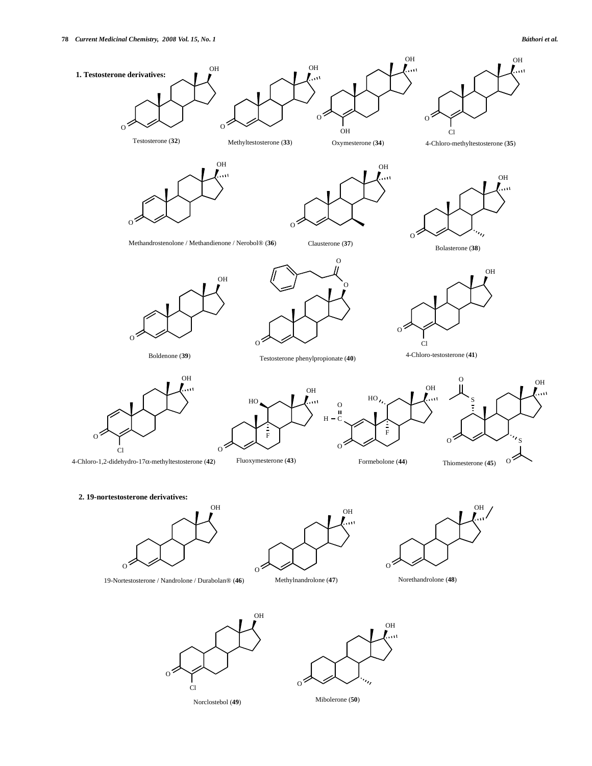



19-Nortestosterone / Nandrolone / Durabolan® (**46**)



Methylnandrolone (**47**)



Norethandrolone (**48**)



Norclostebol (**49**)

OH a et  $\circ$ 

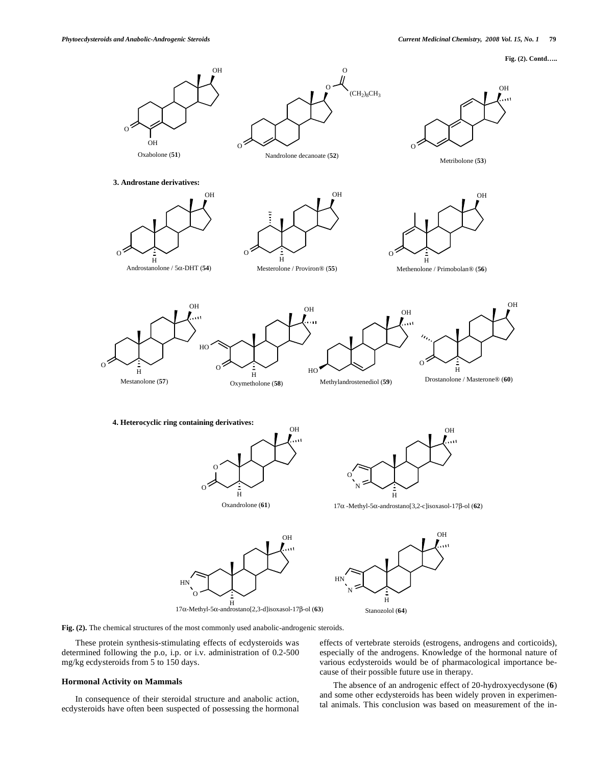**Fig. (2). Contd…..** 



These protein synthesis-stimulating effects of ecdysteroids was determined following the p.o, i.p. or i.v. administration of 0.2-500 mg/kg ecdysteroids from 5 to 150 days.

# **Hormonal Activity on Mammals**

In consequence of their steroidal structure and anabolic action, ecdysteroids have often been suspected of possessing the hormonal effects of vertebrate steroids (estrogens, androgens and corticoids), especially of the androgens. Knowledge of the hormonal nature of various ecdysteroids would be of pharmacological importance because of their possible future use in therapy.

The absence of an androgenic effect of 20-hydroxyecdysone (**6**) and some other ecdysteroids has been widely proven in experimental animals. This conclusion was based on measurement of the in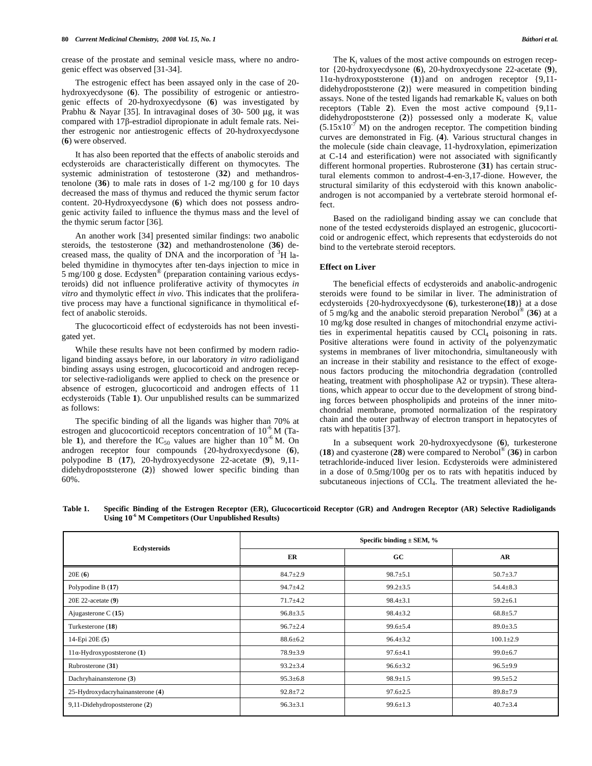crease of the prostate and seminal vesicle mass, where no androgenic effect was observed [31-34].

The estrogenic effect has been assayed only in the case of 20 hydroxyecdysone (**6**). The possibility of estrogenic or antiestrogenic effects of 20-hydroxyecdysone (**6**) was investigated by Prabhu & Nayar [35]. In intravaginal doses of 30- 500 μg, it was compared with  $17\beta$ -estradiol dipropionate in adult female rats. Neither estrogenic nor antiestrogenic effects of 20-hydroxyecdysone (**6**) were observed.

It has also been reported that the effects of anabolic steroids and ecdysteroids are characteristically different on thymocytes. The systemic administration of testosterone (**32**) and methandrostenolone (**36**) to male rats in doses of 1-2 mg/100 g for 10 days decreased the mass of thymus and reduced the thymic serum factor content. 20-Hydroxyecdysone (**6**) which does not possess androgenic activity failed to influence the thymus mass and the level of the thymic serum factor [36].

An another work [34] presented similar findings: two anabolic steroids, the testosterone (**32**) and methandrostenolone (**36**) decreased mass, the quality of DNA and the incorporation of  ${}^{3}H$  labeled thymidine in thymocytes after ten-days injection to mice in 5 mg/100 g dose. Ecdysten® (preparation containing various ecdysteroids) did not influence proliferative activity of thymocytes *in vitro* and thymolytic effect *in vivo*. This indicates that the proliferative process may have a functional significance in thymolitical effect of anabolic steroids.

The glucocorticoid effect of ecdysteroids has not been investigated yet.

While these results have not been confirmed by modern radioligand binding assays before, in our laboratory *in vitro* radioligand binding assays using estrogen, glucocorticoid and androgen receptor selective-radioligands were applied to check on the presence or absence of estrogen, glucocorticoid and androgen effects of 11 ecdysteroids (Table **1**). Our unpublished results can be summarized as follows:

The specific binding of all the ligands was higher than 70% at estrogen and glucocorticoid receptors concentration of  $10^{-6}$  M (Table 1), and therefore the  $IC_{50}$  values are higher than  $10^{-6}$  M. On androgen receptor four compounds {20-hydroxyecdysone (**6**), polypodine B (**17**), 20-hydroxyecdysone 22-acetate (**9**), 9,11 didehydropoststerone (**2**)} showed lower specific binding than 60%.

The  $K_i$  values of the most active compounds on estrogen receptor {20-hydroxyecdysone (**6**), 20-hydroxyecdysone 22-acetate (**9**),  $11\alpha$ -hydroxypoststerone (1)} and on androgen receptor  $\{9,11\}$ didehydropoststerone (**2**)} were measured in competition binding assays. None of the tested ligands had remarkable  $K_i$  values on both receptors (Table **2**). Even the most active compound {9,11 didehydropoststerone  $(2)$ } possessed only a moderate K<sub>i</sub> value  $(5.15x10<sup>-7</sup>$  M) on the androgen receptor. The competition binding curves are demonstrated in Fig. (**4**). Various structural changes in the molecule (side chain cleavage, 11-hydroxylation, epimerization at C-14 and esterification) were not associated with significantly different hormonal properties. Rubrosterone (**31**) has certain structural elements common to androst-4-en-3,17-dione. However, the structural similarity of this ecdysteroid with this known anabolicandrogen is not accompanied by a vertebrate steroid hormonal effect.

Based on the radioligand binding assay we can conclude that none of the tested ecdysteroids displayed an estrogenic, glucocorticoid or androgenic effect, which represents that ecdysteroids do not bind to the vertebrate steroid receptors.

#### **Effect on Liver**

The beneficial effects of ecdysteroids and anabolic-androgenic steroids were found to be similar in liver. The administration of ecdysteroids {20-hydroxyecdysone (**6**), turkesterone(**18**)} at a dose of 5 mg/kg and the anabolic steroid preparation Nerobol® (**36**) at a 10 mg/kg dose resulted in changes of mitochondrial enzyme activities in experimental hepatitis caused by  $CCl<sub>4</sub>$  poisoning in rats. Positive alterations were found in activity of the polyenzymatic systems in membranes of liver mitochondria, simultaneously with an increase in their stability and resistance to the effect of exogenous factors producing the mitochondria degradation (controlled heating, treatment with phospholipase A2 or trypsin). These alterations, which appear to occur due to the development of strong binding forces between phospholipids and proteins of the inner mitochondrial membrane, promoted normalization of the respiratory chain and the outer pathway of electron transport in hepatocytes of rats with hepatitis [37].

In a subsequent work 20-hydroxyecdysone (**6**), turkesterone (**18**) and cyasterone (**28**) were compared to Nerobol® (**36**) in carbon tetrachloride-induced liver lesion. Ecdysteroids were administered in a dose of 0.5mg/100g per os to rats with hepatitis induced by subcutaneous injections of  $\text{CCl}_4$ . The treatment alleviated the he-

| Table 1. | Specific Binding of the Estrogen Receptor (ER), Glucocorticoid Receptor (GR) and Androgen Receptor (AR) Selective Radioligands |
|----------|--------------------------------------------------------------------------------------------------------------------------------|
|          | Using 10 <sup>°</sup> M Competitors (Our Unpublished Results)                                                                  |

| <b>Ecdysteroids</b>                | Specific binding $\pm$ SEM, % |                |                 |  |  |
|------------------------------------|-------------------------------|----------------|-----------------|--|--|
|                                    | ER                            | GC             | AR              |  |  |
| 20E(6)                             | $84.7 \pm 2.9$                | $98.7 \pm 5.1$ | $50.7 \pm 3.7$  |  |  |
| Polypodine B $(17)$                | $94.7 \pm 4.2$                | $99.2 \pm 3.5$ | $54.4 \pm 8.3$  |  |  |
| 20E 22-acetate (9)                 | $71.7 + 4.2$                  | $98.4 \pm 3.1$ | $59.2 \pm 6.1$  |  |  |
| Ajugasterone C $(15)$              | $96.8 \pm 3.5$                | $98.4 \pm 3.2$ | $68.8 \pm 5.7$  |  |  |
| Turkesterone (18)                  | $96.7 \pm 2.4$                | 99.6±5.4       | $89.0 \pm 3.5$  |  |  |
| 14-Epi 20E (5)                     | $88.6 \pm 6.2$                | $96.4 \pm 3.2$ | $100.1 \pm 2.9$ |  |  |
| $11\alpha$ -Hydroxypoststerone (1) | $78.9 \pm 3.9$                | $97.6 \pm 4.1$ | $99.0 \pm 6.7$  |  |  |
| Rubrosterone (31)                  | $93.2 \pm 3.4$                | $96.6 \pm 3.2$ | $96.5 \pm 9.9$  |  |  |
| Dachryhainansterone (3)            | $95.3 \pm 6.8$                | $98.9 \pm 1.5$ | $99.5 \pm 5.2$  |  |  |
| 25-Hydroxydacryhainansterone (4)   | $92.8 \pm 7.2$                | $97.6 \pm 2.5$ | $89.8 \pm 7.9$  |  |  |
| 9,11-Didehydropoststerone (2)      | $96.3 \pm 3.1$                | $99.6 \pm 1.3$ | $40.7 + 3.4$    |  |  |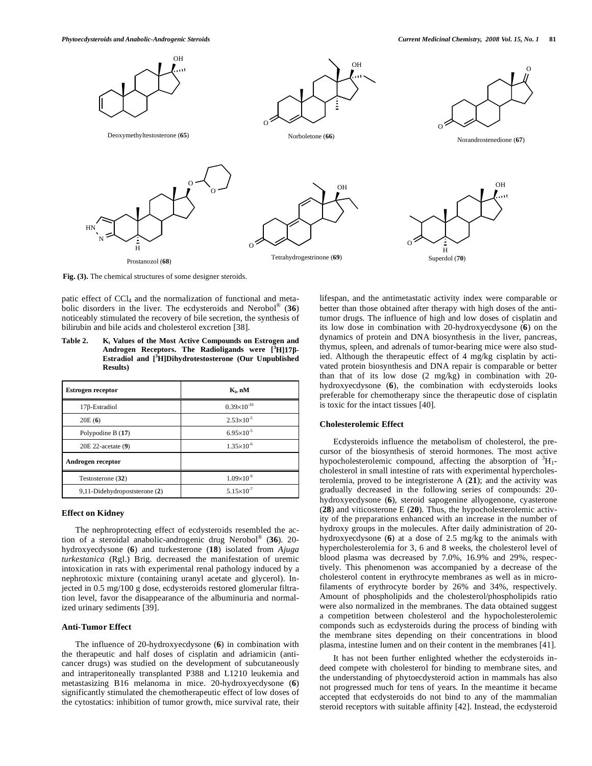

**Fig. (3).** The chemical structures of some designer steroids.

patic effect of CCl<sub>4</sub> and the normalization of functional and metabolic disorders in the liver. The ecdysteroids and Nerobol® (**36**) noticeably stimulated the recovery of bile secretion, the synthesis of bilirubin and bile acids and cholesterol excretion [38].

**Table 2. Ki Values of the Most Active Compounds on Estrogen and Androgen Receptors. The Radioligands were [<sup>3</sup> H]17- Estradiol and [<sup>3</sup> H]Dihydrotestosterone (Our Unpublished Results)** 

| <b>Estrogen receptor</b>      | $K_i$ , nM            |  |  |  |  |
|-------------------------------|-----------------------|--|--|--|--|
| 17 <sub>B</sub> -Estradiol    | $0.39\times10^{-10}$  |  |  |  |  |
| 20E(6)                        | $2.53\times10^{-5}$   |  |  |  |  |
| Polypodine B (17)             | $6.95\times10^{-5}$   |  |  |  |  |
| $20E$ 22-acetate $(9)$        | $1.35\times10^{-6}$   |  |  |  |  |
| Androgen receptor             |                       |  |  |  |  |
| Testosterone (32)             | $1.09\times10^{-9}$   |  |  |  |  |
| 9,11-Didehydropoststerone (2) | $5.15 \times 10^{-7}$ |  |  |  |  |

### **Effect on Kidney**

The nephroprotecting effect of ecdysteroids resembled the action of a steroidal anabolic-androgenic drug Nerobol® (**36**). 20 hydroxyecdysone (**6**) and turkesterone (**18**) isolated from *Ajuga turkestanica* (Rgl.) Brig. decreased the manifestation of uremic intoxication in rats with experimental renal pathology induced by a nephrotoxic mixture (containing uranyl acetate and glycerol). Injected in 0.5 mg/100 g dose, ecdysteroids restored glomerular filtration level, favor the disappearance of the albuminuria and normalized urinary sediments [39].

#### **Anti-Tumor Effect**

The influence of 20-hydroxyecdysone (**6**) in combination with the therapeutic and half doses of cisplatin and adriamicin (anticancer drugs) was studied on the development of subcutaneously and intraperitoneally transplanted P388 and L1210 leukemia and metastasizing B16 melanoma in mice. 20-hydroxyecdysone (**6**) significantly stimulated the chemotherapeutic effect of low doses of the cytostatics: inhibition of tumor growth, mice survival rate, their lifespan, and the antimetastatic activity index were comparable or better than those obtained after therapy with high doses of the antitumor drugs. The influence of high and low doses of cisplatin and its low dose in combination with 20-hydroxyecdysone (**6**) on the dynamics of protein and DNA biosynthesis in the liver, pancreas, thymus, spleen, and adrenals of tumor-bearing mice were also studied. Although the therapeutic effect of 4 mg/kg cisplatin by activated protein biosynthesis and DNA repair is comparable or better than that of its low dose (2 mg/kg) in combination with 20 hydroxyecdysone (**6**), the combination with ecdysteroids looks preferable for chemotherapy since the therapeutic dose of cisplatin is toxic for the intact tissues [40].

## **Cholesterolemic Effect**

Ecdysteroids influence the metabolism of cholesterol, the precursor of the biosynthesis of steroid hormones. The most active hypocholesterolemic compound, affecting the absorption of  ${}^{3}H_{1}$ cholesterol in small intestine of rats with experimental hypercholesterolemia, proved to be integristerone A (**21**); and the activity was gradually decreased in the following series of compounds: 20 hydroxyecdysone (**6**), steroid sapogenine allyogenone, cyasterone (**28**) and viticosterone E (**20**). Thus, the hypocholesterolemic activity of the preparations enhanced with an increase in the number of hydroxy groups in the molecules. After daily administration of 20 hydroxyecdysone (**6**) at a dose of 2.5 mg/kg to the animals with hypercholesterolemia for 3, 6 and 8 weeks, the cholesterol level of blood plasma was decreased by 7.0%, 16.9% and 29%, respectively. This phenomenon was accompanied by a decrease of the cholesterol content in erythrocyte membranes as well as in microfilaments of erythrocyte border by 26% and 34%, respectively. Amount of phospholipids and the cholesterol/phospholipids ratio were also normalized in the membranes. The data obtained suggest a competition between cholesterol and the hypocholesterolemic componds such as ecdysteroids during the process of binding with the membrane sites depending on their concentrations in blood plasma, intestine lumen and on their content in the membranes [41].

It has not been further enlighted whether the ecdysteroids indeed compete with cholesterol for binding to membrane sites, and the understanding of phytoecdysteroid action in mammals has also not progressed much for tens of years. In the meantime it became accepted that ecdysteroids do not bind to any of the mammalian steroid receptors with suitable affinity [42]. Instead, the ecdysteroid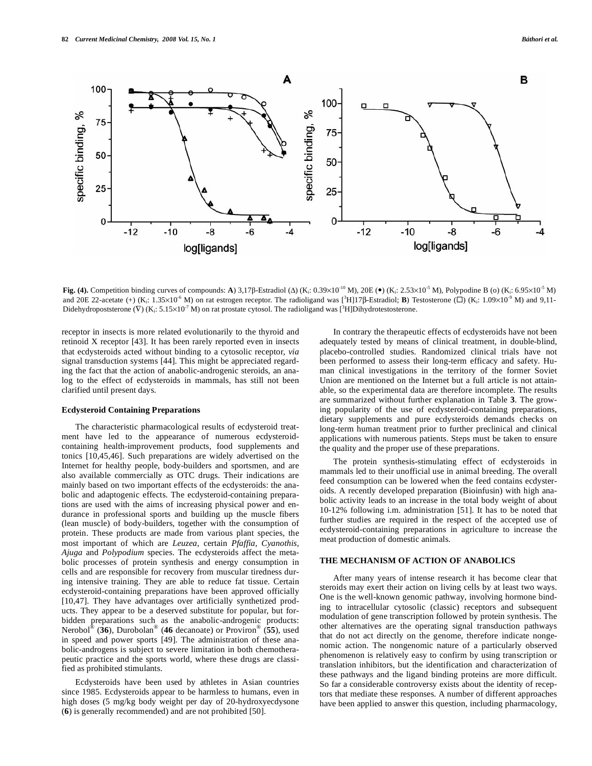

**Fig. (4).** Competition binding curves of compounds: **A**)  $3,17\beta$ -Estradiol ( $\Delta$ ) (K<sub>i</sub>: 0.39×10<sup>-10</sup> M), 20E ( $\bullet$ ) (K<sub>i</sub>: 2.53×10<sup>-5</sup> M), Polypodine B (o) (K<sub>i</sub>: 6.95×10<sup>-5</sup> M) and 20E 22-acetate (+) (K<sub>i</sub>: 1.35×10<sup>-6</sup> M) on rat estrogen receptor. The radioligand was  $[^{3}H]17\beta$ -Estradiol; **B**) Testosterone ( $\square$ ) (K<sub>i</sub>: 1.09×10<sup>-9</sup> M) and 9,11-Didehydropoststerone ( $\nabla$ ) (K<sub>i</sub>: 5.15×10<sup>-7</sup> M) on rat prostate cytosol. The radioligand was [<sup>3</sup>H]Dihydrotestosterone.

receptor in insects is more related evolutionarily to the thyroid and retinoid X receptor [43]. It has been rarely reported even in insects that ecdysteroids acted without binding to a cytosolic receptor, *via* signal transduction systems [44]. This might be appreciated regarding the fact that the action of anabolic-androgenic steroids, an analog to the effect of ecdysteroids in mammals, has still not been clarified until present days.

#### **Ecdysteroid Containing Preparations**

The characteristic pharmacological results of ecdysteroid treatment have led to the appearance of numerous ecdysteroidcontaining health-improvement products, food supplements and tonics [10,45,46]. Such preparations are widely advertised on the Internet for healthy people, body-builders and sportsmen, and are also available commercially as OTC drugs. Their indications are mainly based on two important effects of the ecdysteroids: the anabolic and adaptogenic effects. The ecdysteroid-containing preparations are used with the aims of increasing physical power and endurance in professional sports and building up the muscle fibers (lean muscle) of body-builders, together with the consumption of protein. These products are made from various plant species, the most important of which are *Leuzea*, certain *Pfaffia, Cyanothis, Ajuga* and *Polypodium* species. The ecdysteroids affect the metabolic processes of protein synthesis and energy consumption in cells and are responsible for recovery from muscular tiredness during intensive training. They are able to reduce fat tissue. Certain ecdysteroid-containing preparations have been approved officially [10,47]. They have advantages over artificially synthetized products. They appear to be a deserved substitute for popular, but forbidden preparations such as the anabolic-androgenic products: Nerobol® (**36**), Durobolan® (**46** decanoate) or Proviron® (**55**), used in speed and power sports [49]. The administration of these anabolic-androgens is subject to severe limitation in both chemotherapeutic practice and the sports world, where these drugs are classified as prohibited stimulants.

Ecdysteroids have been used by athletes in Asian countries since 1985. Ecdysteroids appear to be harmless to humans, even in high doses (5 mg/kg body weight per day of 20-hydroxyecdysone (**6**) is generally recommended) and are not prohibited [50].

In contrary the therapeutic effects of ecdysteroids have not been adequately tested by means of clinical treatment, in double-blind, placebo-controlled studies. Randomized clinical trials have not been performed to assess their long-term efficacy and safety. Human clinical investigations in the territory of the former Soviet Union are mentioned on the Internet but a full article is not attainable, so the experimental data are therefore incomplete. The results are summarized without further explanation in Table **3**. The growing popularity of the use of ecdysteroid-containing preparations, dietary supplements and pure ecdysteroids demands checks on long-term human treatment prior to further preclinical and clinical applications with numerous patients. Steps must be taken to ensure the quality and the proper use of these preparations.

The protein synthesis-stimulating effect of ecdysteroids in mammals led to their unofficial use in animal breeding. The overall feed consumption can be lowered when the feed contains ecdysteroids. A recently developed preparation (Bioinfusin) with high anabolic activity leads to an increase in the total body weight of about 10-12% following i.m. administration [51]. It has to be noted that further studies are required in the respect of the accepted use of ecdysteroid-containing preparations in agriculture to increase the meat production of domestic animals.

#### **THE MECHANISM OF ACTION OF ANABOLICS**

After many years of intense research it has become clear that steroids may exert their action on living cells by at least two ways. One is the well-known genomic pathway, involving hormone binding to intracellular cytosolic (classic) receptors and subsequent modulation of gene transcription followed by protein synthesis. The other alternatives are the operating signal transduction pathways that do not act directly on the genome, therefore indicate nongenomic action. The nongenomic nature of a particularly observed phenomenon is relatively easy to confirm by using transcription or translation inhibitors, but the identification and characterization of these pathways and the ligand binding proteins are more difficult. So far a considerable controversy exists about the identity of receptors that mediate these responses. A number of different approaches have been applied to answer this question, including pharmacology,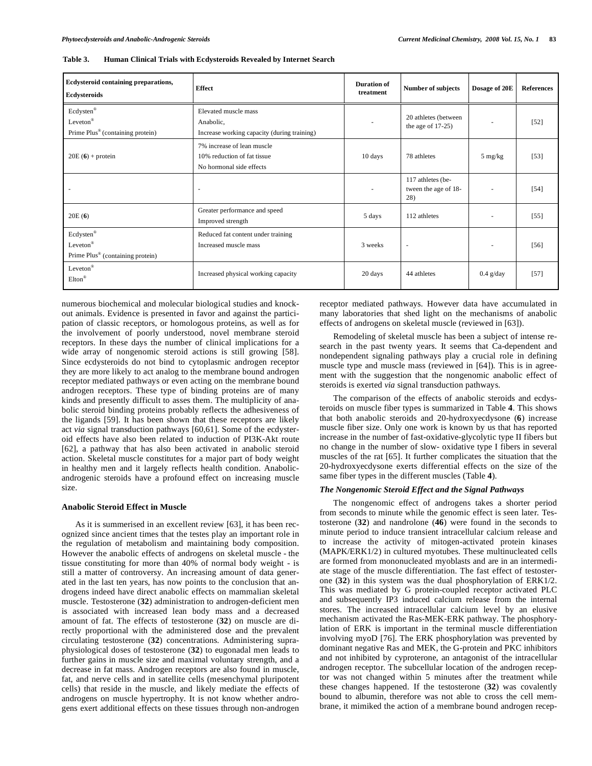| Table 3. | Human Clinical Trials with Ecdysteroids Revealed by Internet Search |  |
|----------|---------------------------------------------------------------------|--|
|----------|---------------------------------------------------------------------|--|

| Ecdysteroid containing preparations,<br>Ecdysteroids                                                    | <b>Effect</b>                                                                         | Duration of<br>treatment | Number of subjects                               | Dosage of 20E     | <b>References</b> |
|---------------------------------------------------------------------------------------------------------|---------------------------------------------------------------------------------------|--------------------------|--------------------------------------------------|-------------------|-------------------|
| $\text{Ecdysten}^{\circledast}$<br>Leveton <sup>®</sup><br>Prime Plus <sup>®</sup> (containing protein) | Elevated muscle mass<br>Anabolic,<br>Increase working capacity (during training)      |                          | 20 athletes (between<br>the age of $17-25$ )     | ٠                 | $[52]$            |
| $20E(6) + protein$                                                                                      | 7% increase of lean muscle<br>10% reduction of fat tissue<br>No hormonal side effects | 10 days                  | 78 athletes                                      | $5 \text{ mg/kg}$ | $[53]$            |
|                                                                                                         | $\overline{a}$                                                                        | $\sim$                   | 117 athletes (be-<br>tween the age of 18-<br>28) | ÷                 | $[54]$            |
| 20E(6)                                                                                                  | Greater performance and speed<br>Improved strength                                    | 5 days                   | 112 athletes                                     | $\sim$            | $[55]$            |
| $\operatorname{Ecdysten}^{\circledast}$<br>Leveton®<br>Prime Plus <sup>®</sup> (containing protein)     | Reduced fat content under training<br>Increased muscle mass                           | 3 weeks                  | $\overline{\phantom{a}}$                         | ٠                 | [56]              |
| Leveton®<br>$Elton^{\circledR}$                                                                         | Increased physical working capacity                                                   | 20 days                  | 44 athletes                                      | $0.4$ g/day       | $[57]$            |

numerous biochemical and molecular biological studies and knockout animals. Evidence is presented in favor and against the participation of classic receptors, or homologous proteins, as well as for the involvement of poorly understood, novel membrane steroid receptors. In these days the number of clinical implications for a wide array of nongenomic steroid actions is still growing [58]. Since ecdysteroids do not bind to cytoplasmic androgen receptor they are more likely to act analog to the membrane bound androgen receptor mediated pathways or even acting on the membrane bound androgen receptors. These type of binding proteins are of many kinds and presently difficult to asses them. The multiplicity of anabolic steroid binding proteins probably reflects the adhesiveness of the ligands [59]. It has been shown that these receptors are likely act *via* signal transduction pathways [60,61]. Some of the ecdysteroid effects have also been related to induction of PI3K-Akt route [62], a pathway that has also been activated in anabolic steroid action. Skeletal muscle constitutes for a major part of body weight in healthy men and it largely reflects health condition. Anabolicandrogenic steroids have a profound effect on increasing muscle size.

#### **Anabolic Steroid Effect in Muscle**

As it is summerised in an excellent review [63], it has been recognized since ancient times that the testes play an important role in the regulation of metabolism and maintaining body composition. However the anabolic effects of androgens on skeletal muscle - the tissue constituting for more than 40% of normal body weight - is still a matter of controversy. An increasing amount of data generated in the last ten years, has now points to the conclusion that androgens indeed have direct anabolic effects on mammalian skeletal muscle. Testosterone (**32**) administration to androgen-deficient men is associated with increased lean body mass and a decreased amount of fat. The effects of testosterone (**32**) on muscle are directly proportional with the administered dose and the prevalent circulating testosterone (**32**) concentrations. Administering supraphysiological doses of testosterone (**32**) to eugonadal men leads to further gains in muscle size and maximal voluntary strength, and a decrease in fat mass. Androgen receptors are also found in muscle, fat, and nerve cells and in satellite cells (mesenchymal pluripotent cells) that reside in the muscle, and likely mediate the effects of androgens on muscle hypertrophy. It is not know whether androgens exert additional effects on these tissues through non-androgen receptor mediated pathways. However data have accumulated in many laboratories that shed light on the mechanisms of anabolic effects of androgens on skeletal muscle (reviewed in [63]).

Remodeling of skeletal muscle has been a subject of intense research in the past twenty years. It seems that Ca-dependent and nondependent signaling pathways play a crucial role in defining muscle type and muscle mass (reviewed in [64]). This is in agreement with the suggestion that the nongenomic anabolic effect of steroids is exerted *via* signal transduction pathways.

The comparison of the effects of anabolic steroids and ecdysteroids on muscle fiber types is summarized in Table **4**. This shows that both anabolic steroids and 20-hydroxyecdysone (**6**) increase muscle fiber size. Only one work is known by us that has reported increase in the number of fast-oxidative-glycolytic type II fibers but no change in the number of slow- oxidative type I fibers in several muscles of the rat [65]. It further complicates the situation that the 20-hydroxyecdysone exerts differential effects on the size of the same fiber types in the different muscles (Table **4**).

#### *The Nongenomic Steroid Effect and the Signal Pathways*

The nongenomic effect of androgens takes a shorter period from seconds to minute while the genomic effect is seen later. Testosterone (**32**) and nandrolone (**46**) were found in the seconds to minute period to induce transient intracellular calcium release and to increase the activity of mitogen-activated protein kinases (MAPK/ERK1/2) in cultured myotubes. These multinucleated cells are formed from mononucleated myoblasts and are in an intermediate stage of the muscle differentiation. The fast effect of testosterone (**32**) in this system was the dual phosphorylation of ERK1/2. This was mediated by G protein-coupled receptor activated PLC and subsequently IP3 induced calcium release from the internal stores. The increased intracellular calcium level by an elusive mechanism activated the Ras-MEK-ERK pathway. The phosphorylation of ERK is important in the terminal muscle differentiation involving myoD [76]. The ERK phosphorylation was prevented by dominant negative Ras and MEK, the G-protein and PKC inhibitors and not inhibited by cyproterone, an antagonist of the intracellular androgen receptor. The subcellular location of the androgen receptor was not changed within 5 minutes after the treatment while these changes happened. If the testosterone (**32**) was covalently bound to albumin, therefore was not able to cross the cell membrane, it mimiked the action of a membrane bound androgen recep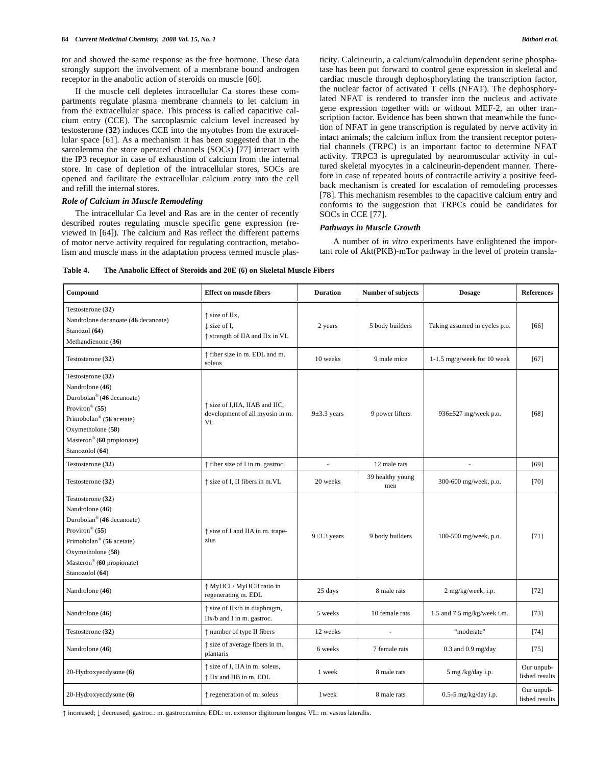tor and showed the same response as the free hormone. These data strongly support the involvement of a membrane bound androgen receptor in the anabolic action of steroids on muscle [60].

If the muscle cell depletes intracellular Ca stores these compartments regulate plasma membrane channels to let calcium in from the extracellular space. This process is called capacitive calcium entry (CCE). The sarcoplasmic calcium level increased by testosterone (**32**) induces CCE into the myotubes from the extracellular space [61]. As a mechanism it has been suggested that in the sarcolemma the store operated channels (SOCs) [77] interact with the IP3 receptor in case of exhaustion of calcium from the internal store. In case of depletion of the intracellular stores, SOCs are opened and facilitate the extracellular calcium entry into the cell and refill the internal stores.

# *Role of Calcium in Muscle Remodeling*

The intracellular Ca level and Ras are in the center of recently described routes regulating muscle specific gene expression (reviewed in [64]). The calcium and Ras reflect the different patterns of motor nerve activity required for regulating contraction, metabolism and muscle mass in the adaptation process termed muscle plasticity. Calcineurin, a calcium/calmodulin dependent serine phosphatase has been put forward to control gene expression in skeletal and cardiac muscle through dephosphorylating the transcription factor, the nuclear factor of activated T cells (NFAT). The dephosphorylated NFAT is rendered to transfer into the nucleus and activate gene expression together with or without MEF-2, an other transcription factor. Evidence has been shown that meanwhile the function of NFAT in gene transcription is regulated by nerve activity in intact animals; the calcium influx from the transient receptor potential channels (TRPC) is an important factor to determine NFAT activity. TRPC3 is upregulated by neuromuscular activity in cultured skeletal myocytes in a calcineurin-dependent manner. Therefore in case of repeated bouts of contractile activity a positive feedback mechanism is created for escalation of remodeling processes [78]. This mechanism resembles to the capacitive calcium entry and conforms to the suggestion that TRPCs could be candidates for SOCs in CCE [77].

# *Pathways in Muscle Growth*

A number of *in vitro* experiments have enlightened the important role of Akt(PKB)-mTor pathway in the level of protein transla-

| Compound                                                                                                                                                                                                                   | <b>Effect on muscle fibers</b>                                                 | <b>Duration</b>          | Number of subjects      | <b>Dosage</b>                 | <b>References</b>            |
|----------------------------------------------------------------------------------------------------------------------------------------------------------------------------------------------------------------------------|--------------------------------------------------------------------------------|--------------------------|-------------------------|-------------------------------|------------------------------|
| Testosterone (32)<br>Nandrolone decanoate (46 decanoate)<br>Stanozol (64)<br>Methandienone (36)                                                                                                                            | ↑ size of IIx,<br>$\downarrow$ size of I,<br>the strength of IIA and IIx in VL | 2 years                  | 5 body builders         | Taking assumed in cycles p.o. | [66]                         |
| Testosterone (32)                                                                                                                                                                                                          | ↑ fiber size in m. EDL and m.<br>soleus                                        | 10 weeks                 | 9 male mice             | $1-1.5$ mg/g/week for 10 week | [67]                         |
| Testosterone (32)<br>Nandrolone (46)<br>Durobolan <sup>®</sup> (46 decanoate)<br>Proviron® $(55)$<br>Primobolan <sup>®</sup> (56 acetate)<br>Oxymetholone (58)<br>Masteron <sup>®</sup> (60 propionate)<br>Stanozolol (64) | ↑ size of I,IIA, IIAB and IIC,<br>development of all myosin in m.<br>VL        | $9\pm3.3$ years          | 9 power lifters         | 936±527 mg/week p.o.          | [68]                         |
| Testosterone (32)                                                                                                                                                                                                          | fiber size of I in m. gastroc.                                                 | $\overline{\phantom{a}}$ | 12 male rats            |                               | [69]                         |
| Testosterone (32)                                                                                                                                                                                                          | ↑ size of I, II fibers in m.VL                                                 | 20 weeks                 | 39 healthy young<br>men | 300-600 mg/week, p.o.         | $[70]$                       |
| Testosterone (32)<br>Nandrolone (46)<br>Durobolan <sup>®</sup> (46 decanoate)<br>Proviron® $(55)$<br>Primobolan <sup>®</sup> (56 acetate)<br>Oxymetholone (58)<br>Masteron <sup>®</sup> (60 propionate)<br>Stanozolol (64) | ↑ size of I and IIA in m. trape-<br>zius                                       | $9\pm3.3$ years          | 9 body builders         | 100-500 mg/week, p.o.         | [71]                         |
| Nandrolone (46)                                                                                                                                                                                                            | ↑ MyHCI / MyHCII ratio in<br>regenerating m. EDL                               | 25 days                  | 8 male rats             | 2 mg/kg/week, i.p.            | $[72]$                       |
| Nandrolone (46)                                                                                                                                                                                                            | ↑ size of IIx/b in diaphragm,<br>IIx/b and I in m. gastroc.                    | 5 weeks                  | 10 female rats          | 1.5 and 7.5 mg/kg/week i.m.   | $[73]$                       |
| Testosterone (32)                                                                                                                                                                                                          | ↑ number of type II fibers                                                     | 12 weeks                 | ÷,                      | "moderate"                    | $[74]$                       |
| Nandrolone (46)                                                                                                                                                                                                            | t size of average fibers in m.<br>plantaris                                    | 6 weeks                  | 7 female rats           | $0.3$ and $0.9$ mg/day        | $[75]$                       |
| 20-Hydroxyecdysone (6)                                                                                                                                                                                                     | ↑ size of I, IIA in m. soleus,<br>$\uparrow$ IIx and IIB in m. EDL             | 1 week                   | 8 male rats             | $5$ mg /kg/day i.p.           | Our unpub-<br>lished results |
| 20-Hydroxyecdysone (6)                                                                                                                                                                                                     | ↑ regeneration of m. soleus                                                    | 1week                    | 8 male rats             | $0.5-5$ mg/kg/day i.p.        | Our unpub-<br>lished results |

#### **Table 4. The Anabolic Effect of Steroids and 20E (6) on Skeletal Muscle Fibers**

↑ increased; ↓ decreased; gastroc.: m. gastrocnemius; EDL: m. extensor digitorum longus; VL: m. vastus lateralis.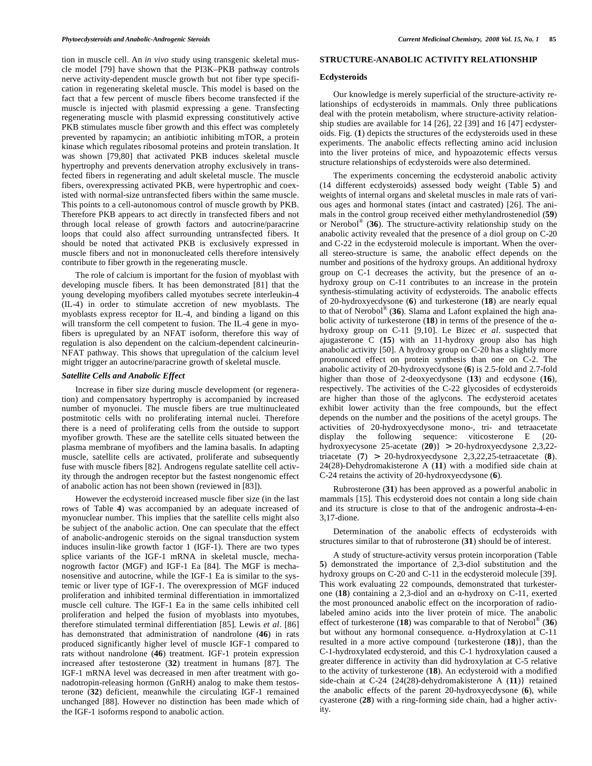tion in muscle cell. An *in vivo* study using transgenic skeletal muscle model [79] have shown that the PI3K–PKB pathway controls nerve activity-dependent muscle growth but not fiber type specification in regenerating skeletal muscle. This model is based on the fact that a few percent of muscle fibers become transfected if the muscle is injected with plasmid expressing a gene. Transfecting regenerating muscle with plasmid expressing constitutively active PKB stimulates muscle fiber growth and this effect was completely prevented by rapamycin; an antibiotic inhibiting mTOR, a protein kinase which regulates ribosomal proteins and protein translation. It was shown [79,80] that activated PKB induces skeletal muscle hypertrophy and prevents denervation atrophy exclusively in transfected fibers in regenerating and adult skeletal muscle. The muscle fibers, overexpressing activated PKB, were hypertrophic and coexisted with normal-size untransfected fibers within the same muscle. This points to a cell-autonomous control of muscle growth by PKB. Therefore PKB appears to act directly in transfected fibers and not through local release of growth factors and autocrine/paracrine loops that could also affect surrounding untransfected fibers. It should be noted that activated PKB is exclusively expressed in muscle fibers and not in mononucleated cells therefore intensively contribute to fiber growth in the regenerating muscle.

The role of calcium is important for the fusion of myoblast with developing muscle fibers. It has been demonstrated [81] that the young developing myofibers called myotubes secrete interleukin-4 (IL-4) in order to stimulate accretion of new myoblasts. The myoblasts express receptor for IL-4, and binding a ligand on this will transform the cell competent to fusion. The IL-4 gene in myofibers is upregulated by an NFAT isoform, therefore this way of regulation is also dependent on the calcium-dependent calcineurin-NFAT pathway. This shows that upregulation of the calcium level might trigger an autocrine/paracrine growth of skeletal muscle.

#### *Satellite Cells and Anabolic Effect*

Increase in fiber size during muscle development (or regeneration) and compensatory hypertrophy is accompanied by increased number of myonuclei. The muscle fibers are true multinucleated postmitotic cells with no proliferating internal nuclei. Therefore there is a need of proliferating cells from the outside to support myofiber growth. These are the satellite cells situated between the plasma membrane of myofibers and the lamina basalis. In adapting muscle, satellite cells are activated, proliferate and subsequently fuse with muscle fibers [82]. Androgens regulate satellite cell activity through the androgen receptor but the fastest nongenomic effect of anabolic action has not been shown (reviewed in [83]).

However the ecdysteroid increased muscle fiber size (in the last rows of Table **4**) was accompanied by an adequate increased of myonuclear number. This implies that the satellite cells might also be subject of the anabolic action. One can speculate that the effect of anabolic-androgenic steroids on the signal transduction system induces insulin-like growth factor 1 (IGF-1). There are two types splice variants of the IGF-1 mRNA in skeletal muscle, mechanogrowth factor (MGF) and IGF-1 Ea [84]. The MGF is mechanosensitive and autocrine, while the IGF-1 Ea is similar to the systemic or liver type of IGF-1. The overexpression of MGF induced proliferation and inhibited terminal differentiation in immortalized muscle cell culture. The IGF-1 Ea in the same cells inhibited cell proliferation and helped the fusion of myoblasts into myotubes, therefore stimulated terminal differentiation [85]. Lewis *et al*. [86] has demonstrated that administration of nandrolone (**46**) in rats produced significantly higher level of muscle IGF-1 compared to rats without nandrolone (**46**) treatment. IGF-1 protein expression increased after testosterone (**32**) treatment in humans [87]. The IGF-1 mRNA level was decreased in men after treatment with gonadotropin-releasing hormon (GnRH) analog to make them testosterone (**32**) deficient, meanwhile the circulating IGF-1 remained unchanged [88]. However no distinction has been made which of the IGF-1 isoforms respond to anabolic action.

# **STRUCTURE-ANABOLIC ACTIVITY RELATIONSHIP**

#### **Ecdysteroids**

Our knowledge is merely superficial of the structure-activity relationships of ecdysteroids in mammals. Only three publications deal with the protein metabolism, where structure-activity relationship studies are available for 14 [26], 22 [39] and 16 [47] ecdysteroids. Fig. (**1**) depicts the structures of the ecdysteroids used in these experiments. The anabolic effects reflecting amino acid inclusion into the liver proteins of mice, and hypoazotemic effects versus structure relationships of ecdysteroids were also determined.

The experiments concerning the ecdysteroid anabolic activity (14 different ecdysteroids) assessed body weight (Table **5**) and weights of internal organs and skeletal muscles in male rats of various ages and hormonal states (intact and castrated) [26]. The animals in the control group received either methylandrostenediol (**59**) or Nerobol® (**36**). The structure-activity relationship study on the anabolic activity revealed that the presence of a diol group on C-20 and C-22 in the ecdysteroid molecule is important. When the overall stereo-structure is same, the anabolic effect depends on the number and positions of the hydroxy groups. An additional hydroxy group on C-1 decreases the activity, but the presence of an  $\alpha$ hydroxy group on C-11 contributes to an increase in the protein synthesis-stimulating activity of ecdysteroids. The anabolic effects of 20-hydroxyecdysone (**6**) and turkesterone (**18**) are nearly equal to that of Nerobol® (**36**). Slama and Lafont explained the high anabolic activity of turkesterone (18) in terms of the presence of the  $\alpha$ hydroxy group on C-11 [9,10]. Le Bizec *et al*. suspected that ajugasterone C (**15**) with an 11-hydroxy group also has high anabolic activity [50]. A hydroxy group on C-20 has a slightly more pronounced effect on protein synthesis than one on C-2. The anabolic activity of 20-hydroxyecdysone (**6**) is 2.5-fold and 2.7-fold higher than those of 2-deoxyecdysone (**13**) and ecdysone (**16**), respectively. The activities of the C-22 glycosides of ecdysteroids are higher than those of the aglycons. The ecdysteroid acetates exhibit lower activity than the free compounds, but the effect depends on the number and the positions of the acetyl groups. The activities of 20-hydroxyecdysone mono-, tri- and tetraacetate display the following sequence: viticosterone E {20 hydroxyecysone 25-acetate (**20**)} > 20-hydroxyecdysone 2,3,22 triacetate (**7**) > 20-hydroxyecdysone 2,3,22,25-tetraacetate (**8**). 24(28)-Dehydromakisterone A (**11**) with a modified side chain at C-24 retains the activity of 20-hydroxyecdysone (**6**).

Rubrosterone (**31**) has been approved as a powerful anabolic in mammals [15]. This ecdysteroid does not contain a long side chain and its structure is close to that of the androgenic androsta-4-en-3,17-dione.

Determination of the anabolic effects of ecdysteroids with structures similar to that of rubrosterone (**31**) should be of interest.

A study of structure-activity versus protein incorporation (Table **5**) demonstrated the importance of 2,3-diol substitution and the hydroxy groups on C-20 and C-11 in the ecdysteroid molecule [39]. This work evaluating 22 compounds, demonstrated that turkesterone  $(18)$  containing a 2,3-diol and an  $\alpha$ -hydroxy on C-11, exerted the most pronounced anabolic effect on the incorporation of radiolabeled amino acids into the liver protein of mice. The anabolic effect of turkesterone (**18**) was comparable to that of Nerobol® (**36**) but without any hormonal consequence.  $\alpha$ -Hydroxylation at C-11 resulted in a more active compound {turkesterone (**18**)}, than the C-1-hydroxylated ecdysteroid, and this C-1 hydroxylation caused a greater difference in activity than did hydroxylation at C-5 relative to the activity of turkesterone (**18**). An ecdysteroid with a modified side-chain at C-24 {24(28)-dehydromakisterone A (**11**)} retained the anabolic effects of the parent 20-hydroxyecdysone (**6**), while cyasterone (**28**) with a ring-forming side chain, had a higher activity.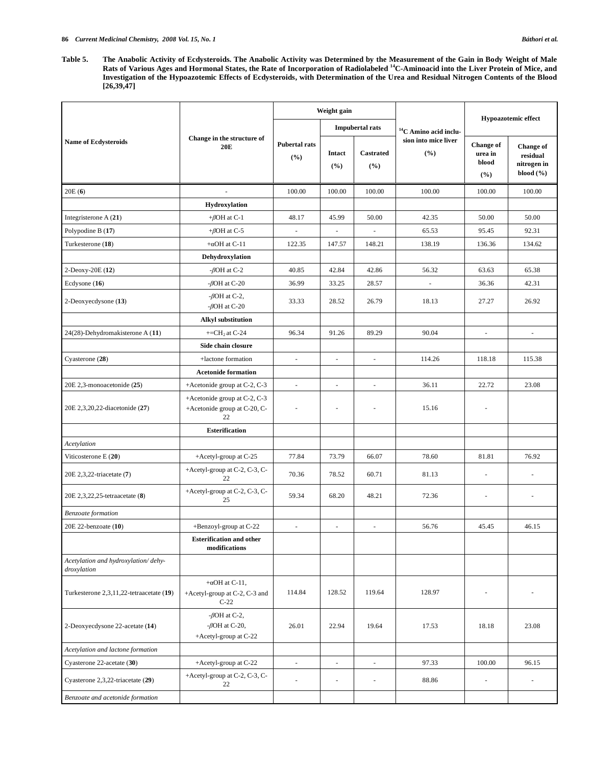|                                                    |                                                                      | Weight gain                 |                              |                          |                                   | Hypoazotemic effect                         |                                                              |
|----------------------------------------------------|----------------------------------------------------------------------|-----------------------------|------------------------------|--------------------------|-----------------------------------|---------------------------------------------|--------------------------------------------------------------|
|                                                    |                                                                      |                             |                              | <b>Impubertal rats</b>   | <sup>14</sup> C Amino acid inclu- |                                             |                                                              |
| <b>Name of Ecdysteroids</b>                        | Change in the structure of<br>20E                                    | <b>Pubertal rats</b><br>(%) | <b>Intact</b><br>(%)         | Castrated<br>(%)         | sion into mice liver<br>(%)       | <b>Change</b> of<br>urea in<br>blood<br>(%) | <b>Change</b> of<br>residual<br>nitrogen in<br>blood $(\% )$ |
| 20E(6)                                             |                                                                      | 100.00                      | 100.00                       | 100.00                   | 100.00                            | 100.00                                      | 100.00                                                       |
|                                                    | Hydroxylation                                                        |                             |                              |                          |                                   |                                             |                                                              |
| Integristerone $A(21)$                             | + $\beta$ OH at C-1                                                  | 48.17                       | 45.99                        | 50.00                    | 42.35                             | 50.00                                       | 50.00                                                        |
| Polypodine B (17)                                  | + $\beta$ OH at C-5                                                  |                             |                              |                          | 65.53                             | 95.45                                       | 92.31                                                        |
| Turkesterone (18)                                  | $+\alpha$ OH at C-11                                                 | 122.35                      | 147.57                       | 148.21                   | 138.19                            | 136.36                                      | 134.62                                                       |
|                                                    | Dehydroxylation                                                      |                             |                              |                          |                                   |                                             |                                                              |
| 2-Deoxy-20E (12)                                   | $-\beta$ OH at C-2                                                   | 40.85                       | 42.84                        | 42.86                    | 56.32                             | 63.63                                       | 65.38                                                        |
| Ecdysone $(16)$                                    | $-\beta$ OH at C-20                                                  | 36.99                       | 33.25                        | 28.57                    |                                   | 36.36                                       | 42.31                                                        |
| 2-Deoxyecdysone (13)                               | $-\beta$ OH at C-2,<br>$-\beta$ OH at C-20                           | 33.33                       | 28.52                        | 26.79                    | 18.13                             | 27.27                                       | 26.92                                                        |
|                                                    | <b>Alkyl substitution</b>                                            |                             |                              |                          |                                   |                                             |                                                              |
| 24(28)-Dehydromakisterone A (11)                   | $+ = CH2$ at C-24                                                    | 96.34                       | 91.26                        | 89.29                    | 90.04                             | $\overline{\phantom{a}}$                    | $\overline{\phantom{a}}$                                     |
|                                                    | Side chain closure                                                   |                             |                              |                          |                                   |                                             |                                                              |
| Cyasterone (28)                                    | +lactone formation                                                   | $\blacksquare$              | $\overline{\phantom{a}}$     | $\overline{\phantom{a}}$ | 114.26                            | 118.18                                      | 115.38                                                       |
|                                                    | <b>Acetonide formation</b>                                           |                             |                              |                          |                                   |                                             |                                                              |
| 20E 2,3-monoacetonide (25)                         | +Acetonide group at C-2, C-3                                         | $\sim$                      | ÷,                           | $\overline{\phantom{a}}$ | 36.11                             | 22.72                                       | 23.08                                                        |
| 20E 2,3,20,22-diacetonide (27)                     | +Acetonide group at C-2, C-3<br>+Acetonide group at C-20, C-<br>22   |                             | ÷,                           | ÷,                       | 15.16                             |                                             |                                                              |
|                                                    | <b>Esterification</b>                                                |                             |                              |                          |                                   |                                             |                                                              |
| Acetylation                                        |                                                                      |                             |                              |                          |                                   |                                             |                                                              |
| Viticosterone $E(20)$                              | +Acetyl-group at C-25                                                | 77.84                       | 73.79                        | 66.07                    | 78.60                             | 81.81                                       | 76.92                                                        |
| 20E 2,3,22-triacetate (7)                          | +Acetyl-group at C-2, C-3, C-<br>22                                  | 70.36                       | 78.52                        | 60.71                    | 81.13                             |                                             |                                                              |
| 20E 2,3,22,25-tetraacetate (8)                     | +Acetyl-group at C-2, C-3, C-<br>25                                  | 59.34                       | 68.20                        | 48.21                    | 72.36                             | ä,                                          |                                                              |
| <b>Benzoate</b> formation                          |                                                                      |                             |                              |                          |                                   |                                             |                                                              |
| 20E 22-benzoate (10)                               | +Benzoyl-group at C-22                                               | $\bar{\phantom{a}}$         | ÷,                           | $\bar{\phantom{a}}$      | 56.76                             | 45.45                                       | 46.15                                                        |
|                                                    | <b>Esterification and other</b><br>modifications                     |                             |                              |                          |                                   |                                             |                                                              |
| Acetylation and hydroxylation/dehy-<br>droxylation |                                                                      |                             |                              |                          |                                   |                                             |                                                              |
| Turkesterone 2,3,11,22-tetraacetate (19)           | $+\alpha$ OH at C-11,<br>+Acetyl-group at C-2, C-3 and<br>$C-22$     | 114.84                      | 128.52                       | 119.64                   | 128.97                            |                                             |                                                              |
| 2-Deoxyecdysone 22-acetate (14)                    | $-\beta$ OH at C-2,<br>$-\beta$ OH at C-20,<br>+Acetyl-group at C-22 | 26.01                       | 22.94                        | 19.64                    | 17.53                             | 18.18                                       | 23.08                                                        |
| Acetylation and lactone formation                  |                                                                      |                             |                              |                          |                                   |                                             |                                                              |
| Cyasterone 22-acetate (30)                         | +Acetyl-group at C-22                                                | $\blacksquare$              | $\qquad \qquad \blacksquare$ | $\overline{\phantom{a}}$ | 97.33                             | 100.00                                      | 96.15                                                        |
| Cyasterone 2,3,22-triacetate (29)                  | +Acetyl-group at C-2, C-3, C-<br>22                                  | ä,                          | $\overline{\phantom{a}}$     | ÷,                       | 88.86                             | $\overline{a}$                              | $\overline{\phantom{a}}$                                     |
| Benzoate and acetonide formation                   |                                                                      |                             |                              |                          |                                   |                                             |                                                              |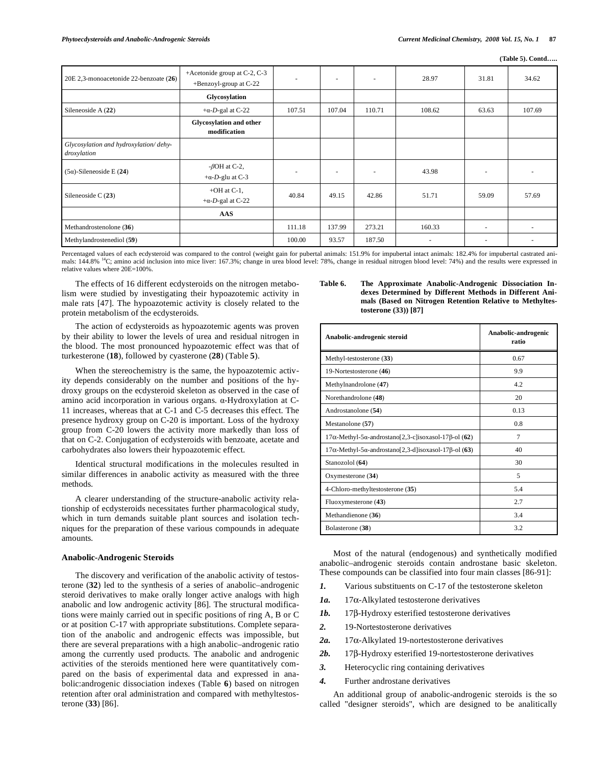**(Table 5). Contd…..** 

| 20E 2,3-monoacetonide 22-benzoate (26)               | +Acetonide group at $C-2$ , $C-3$<br>$+$ Benzoyl-group at C-22 | ٠      | $\overline{\phantom{a}}$ |        | 28.97                    | 31.81 | 34.62  |
|------------------------------------------------------|----------------------------------------------------------------|--------|--------------------------|--------|--------------------------|-------|--------|
|                                                      | Glycosylation                                                  |        |                          |        |                          |       |        |
| Sileneoside A $(22)$                                 | $+\alpha$ -D-gal at C-22                                       | 107.51 | 107.04                   | 110.71 | 108.62                   | 63.63 | 107.69 |
|                                                      | Glycosylation and other<br>modification                        |        |                          |        |                          |       |        |
| Glycosylation and hydroxylation/dehy-<br>droxylation |                                                                |        |                          |        |                          |       |        |
| $(5\alpha)$ -Sileneoside E (24)                      | $-\beta$ OH at C-2,<br>$+\alpha$ -D-glu at C-3                 | ٠      | $\overline{\phantom{a}}$ |        | 43.98                    |       |        |
| Sileneoside C $(23)$                                 | $+OH$ at C-1,<br>$+\alpha$ -D-gal at C-22                      | 40.84  | 49.15                    | 42.86  | 51.71                    | 59.09 | 57.69  |
|                                                      | AAS                                                            |        |                          |        |                          |       |        |
| Methandrostenolone (36)                              |                                                                | 111.18 | 137.99                   | 273.21 | 160.33                   | ۰     |        |
| Methylandrostenediol (59)                            |                                                                | 100.00 | 93.57                    | 187.50 | $\overline{\phantom{a}}$ |       |        |

Percentaged values of each ecdysteroid was compared to the control (weight gain for pubertal animals: 151.9% for impubertal intact animals: 182.4% for impubertal castrated animals: 144.8% <sup>14</sup>C; amino acid inclusion into mice liver: 167.3%; change in urea blood level: 78%, change in residual nitrogen blood level: 74%) and the results were expressed in relative values where 20E=100%.

The effects of 16 different ecdysteroids on the nitrogen metabolism were studied by investigating their hypoazotemic activity in male rats [47]. The hypoazotemic activity is closely related to the protein metabolism of the ecdysteroids.

The action of ecdysteroids as hypoazotemic agents was proven by their ability to lower the levels of urea and residual nitrogen in the blood. The most pronounced hypoazotemic effect was that of turkesterone (**18**), followed by cyasterone (**28**) (Table **5**).

When the stereochemistry is the same, the hypoazotemic activity depends considerably on the number and positions of the hydroxy groups on the ecdysteroid skeleton as observed in the case of amino acid incorporation in various organs.  $\alpha$ -Hydroxylation at C-11 increases, whereas that at C-1 and C-5 decreases this effect. The presence hydroxy group on C-20 is important. Loss of the hydroxy group from C-20 lowers the activity more markedly than loss of that on C-2. Conjugation of ecdysteroids with benzoate, acetate and carbohydrates also lowers their hypoazotemic effect.

Identical structural modifications in the molecules resulted in similar differences in anabolic activity as measured with the three methods.

A clearer understanding of the structure-anabolic activity relationship of ecdysteroids necessitates further pharmacological study, which in turn demands suitable plant sources and isolation techniques for the preparation of these various compounds in adequate amounts.

#### **Anabolic-Androgenic Steroids**

The discovery and verification of the anabolic activity of testosterone (**32**) led to the synthesis of a series of anabolic–androgenic steroid derivatives to make orally longer active analogs with high anabolic and low androgenic activity [86]. The structural modifications were mainly carried out in specific positions of ring A, B or C or at position C-17 with appropriate substitutions. Complete separation of the anabolic and androgenic effects was impossible, but there are several preparations with a high anabolic–androgenic ratio among the currently used products. The anabolic and androgenic activities of the steroids mentioned here were quantitatively compared on the basis of experimental data and expressed in anabolic:androgenic dissociation indexes (Table **6**) based on nitrogen retention after oral administration and compared with methyltestosterone (**33**) [86].

### **Table 6. The Approximate Anabolic-Androgenic Dissociation Indexes Determined by Different Methods in Different Animals (Based on Nitrogen Retention Relative to Methyltestosterone (33)) [87]**

| Anabolic-androgenic steroid                                                  | Anabolic-androgenic<br>ratio |
|------------------------------------------------------------------------------|------------------------------|
| Methyl-testosterone (33)                                                     | 0.67                         |
| 19-Nortestosterone (46)                                                      | 9.9                          |
| Methylnandrolone (47)                                                        | 4.2                          |
| Norethandrolone (48)                                                         | 20                           |
| Androstanolone (54)                                                          | 0.13                         |
| Mestanolone (57)                                                             | 0.8                          |
| $17\alpha$ -Methyl-5 $\alpha$ -androstano[2,3-c]isoxasol-17 $\beta$ -ol (62) | 7                            |
| $17\alpha$ -Methyl-5α-androstano[2,3-d]isoxasol-17β-ol (63)                  | 40                           |
| Stanozolol (64)                                                              | 30                           |
| Oxymesterone $(34)$                                                          | 5                            |
| 4-Chloro-methyltestosterone (35)                                             | 5.4                          |
| Fluoxymesterone $(43)$                                                       | 2.7                          |
| Methandienone (36)                                                           | 3.4                          |
| Bolasterone (38)                                                             | 3.2                          |

Most of the natural (endogenous) and synthetically modified anabolic–androgenic steroids contain androstane basic skeleton. These compounds can be classified into four main classes [86-91]:

- *1.* Various substituents on C-17 of the testosterone skeleton
- $1a.$  17 $\alpha$ -Alkylated testosterone derivatives
- **1b.** 17β-Hydroxy esterified testosterone derivatives
- *2.* 19-Nortestosterone derivatives
- $2a.$  17 $\alpha$ -Alkylated 19-nortestosterone derivatives
- $2b.$  17 $\beta$ -Hydroxy esterified 19-nortestosterone derivatives
- *3.* Heterocyclic ring containing derivatives
- *4.* Further androstane derivatives

An additional group of anabolic-androgenic steroids is the so called "designer steroids", which are designed to be analitically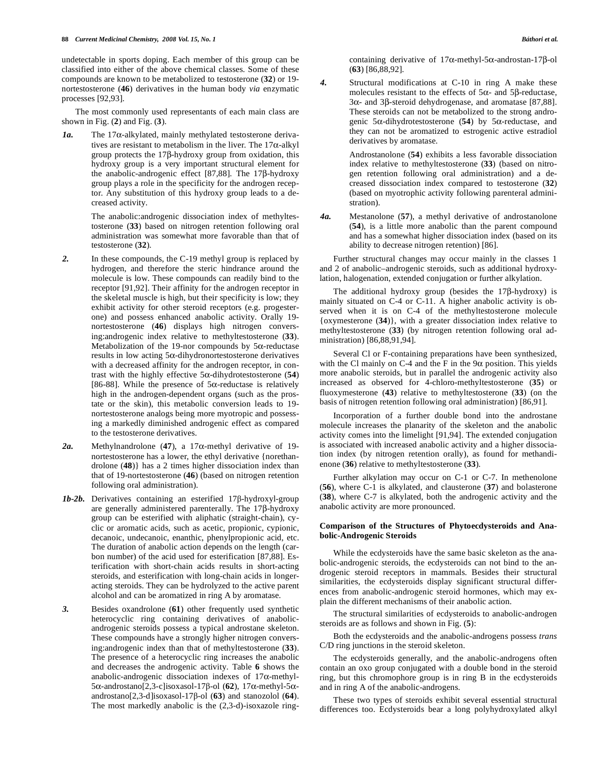undetectable in sports doping. Each member of this group can be classified into either of the above chemical classes. Some of these compounds are known to be metabolized to testosterone (**32**) or 19 nortestosterone (**46**) derivatives in the human body *via* enzymatic processes [92,93].

The most commonly used representants of each main class are shown in Fig. (**2**) and Fig. (**3**).

 $1a$ . The 17 $\alpha$ -alkylated, mainly methylated testosterone derivatives are resistant to metabolism in the liver. The  $17\alpha$ -alkyl group protects the  $17\beta$ -hydroxy group from oxidation, this hydroxy group is a very important structural element for the anabolic-androgenic effect [87,88]. The  $17\beta$ -hydroxy group plays a role in the specificity for the androgen receptor. Any substitution of this hydroxy group leads to a decreased activity.

> The anabolic:androgenic dissociation index of methyltestosterone (**33**) based on nitrogen retention following oral administration was somewhat more favorable than that of testosterone (**32**).

- *2.* In these compounds, the C-19 methyl group is replaced by hydrogen, and therefore the steric hindrance around the molecule is low. These compounds can readily bind to the receptor [91,92]. Their affinity for the androgen receptor in the skeletal muscle is high, but their specificity is low; they exhibit activity for other steroid receptors (e.g. progesterone) and possess enhanced anabolic activity. Orally 19 nortestosterone (**46**) displays high nitrogen conversing:androgenic index relative to methyltestosterone (**33**). Metabolization of the 19-nor compounds by  $5\alpha$ -reductase results in low acting  $5\alpha$ -dihydronortestosterone derivatives with a decreased affinity for the androgen receptor, in contrast with the highly effective  $5\alpha$ -dihydrotestosterone (54) [86-88]. While the presence of  $5\alpha$ -reductase is relatively high in the androgen-dependent organs (such as the prostate or the skin), this metabolic conversion leads to 19 nortestosterone analogs being more myotropic and possessing a markedly diminished androgenic effect as compared to the testosterone derivatives.
- 2a. Methylnandrolone (47), a  $17\alpha$ -methyl derivative of 19nortestosterone has a lower, the ethyl derivative {norethandrolone (**48**)} has a 2 times higher dissociation index than that of 19-nortestosterone (**46**) (based on nitrogen retention following oral administration).
- $1b-2b$ . Derivatives containing an esterified  $17\beta$ -hydroxyl-group are generally administered parenterally. The  $17\beta$ -hydroxy group can be esterified with aliphatic (straight-chain), cyclic or aromatic acids, such as acetic, propionic, cypionic, decanoic, undecanoic, enanthic, phenylpropionic acid, etc. The duration of anabolic action depends on the length (carbon number) of the acid used for esterification [87,88]. Esterification with short-chain acids results in short-acting steroids, and esterification with long-chain acids in longeracting steroids. They can be hydrolyzed to the active parent alcohol and can be aromatized in ring A by aromatase.
- *3.* Besides oxandrolone (**61**) other frequently used synthetic heterocyclic ring containing derivatives of anabolicandrogenic steroids possess a typical androstane skeleton. These compounds have a strongly higher nitrogen conversing:androgenic index than that of methyltestosterone (**33**). The presence of a heterocyclic ring increases the anabolic and decreases the androgenic activity. Table **6** shows the anabolic-androgenic dissociation indexes of  $17\alpha$ -methyl- $5\alpha$ -androstano[2,3-c]isoxasol-17 $\beta$ -ol (62), 17 $\alpha$ -methyl-5 $\alpha$ androstano $[2,3-d]$ isoxasol-17 $\beta$ -ol (63) and stanozolol (64). The most markedly anabolic is the (2,3-d)-isoxazole ring-

containing derivative of  $17\alpha$ -methyl-5 $\alpha$ -androstan-17 $\beta$ -ol (**63**) [86,88,92].

*4.* Structural modifications at C-10 in ring A make these molecules resistant to the effects of  $5\alpha$ - and  $5\beta$ -reductase,  $3\alpha$ - and  $3\beta$ -steroid dehydrogenase, and aromatase [87,88]. These steroids can not be metabolized to the strong androgenic  $5\alpha$ -dihydrotestosterone (54) by  $5\alpha$ -reductase, and they can not be aromatized to estrogenic active estradiol derivatives by aromatase.

> Androstanolone (**54**) exhibits a less favorable dissociation index relative to methyltestosterone (**33**) (based on nitrogen retention following oral administration) and a decreased dissociation index compared to testosterone (**32**) (based on myotrophic activity following parenteral administration).

*4a.* Mestanolone (**57**), a methyl derivative of androstanolone (**54**), is a little more anabolic than the parent compound and has a somewhat higher dissociation index (based on its ability to decrease nitrogen retention) [86].

Further structural changes may occur mainly in the classes 1 and 2 of anabolic–androgenic steroids, such as additional hydroxylation, halogenation, extended conjugation or further alkylation.

The additional hydroxy group (besides the  $17\beta$ -hydroxy) is mainly situated on C-4 or C-11. A higher anabolic activity is observed when it is on C-4 of the methyltestosterone molecule {oxymesterone (**34**)}, with a greater dissociation index relative to methyltestosterone (**33**) (by nitrogen retention following oral administration) [86,88,91,94].

Several Cl or F-containing preparations have been synthesized, with the Cl mainly on C-4 and the F in the  $9\alpha$  position. This yields more anabolic steroids, but in parallel the androgenic activity also increased as observed for 4-chloro-methyltestosterone (**35**) or fluoxymesterone (**43**) relative to methyltestosterone (**33**) (on the basis of nitrogen retention following oral administration) [86,91].

Incorporation of a further double bond into the androstane molecule increases the planarity of the skeleton and the anabolic activity comes into the limelight [91,94]. The extended conjugation is associated with increased anabolic activity and a higher dissociation index (by nitrogen retention orally), as found for methandienone (**36**) relative to methyltestosterone (**33**).

Further alkylation may occur on C-1 or C-7. In methenolone (**56**), where C-1 is alkylated, and clausterone (**37**) and bolasterone (**38**), where C-7 is alkylated, both the androgenic activity and the anabolic activity are more pronounced.

# **Comparison of the Structures of Phytoecdysteroids and Anabolic-Androgenic Steroids**

While the ecdysteroids have the same basic skeleton as the anabolic-androgenic steroids, the ecdysteroids can not bind to the androgenic steroid receptors in mammals. Besides their structural similarities, the ecdysteroids display significant structural differences from anabolic-androgenic steroid hormones, which may explain the different mechanisms of their anabolic action.

The structural similarities of ecdysteroids to anabolic-androgen steroids are as follows and shown in Fig. (**5**):

Both the ecdysteroids and the anabolic-androgens possess *trans* C/D ring junctions in the steroid skeleton.

The ecdysteroids generally, and the anabolic-androgens often contain an oxo group conjugated with a double bond in the steroid ring, but this chromophore group is in ring B in the ecdysteroids and in ring A of the anabolic-androgens.

These two types of steroids exhibit several essential structural differences too. Ecdysteroids bear a long polyhydroxylated alkyl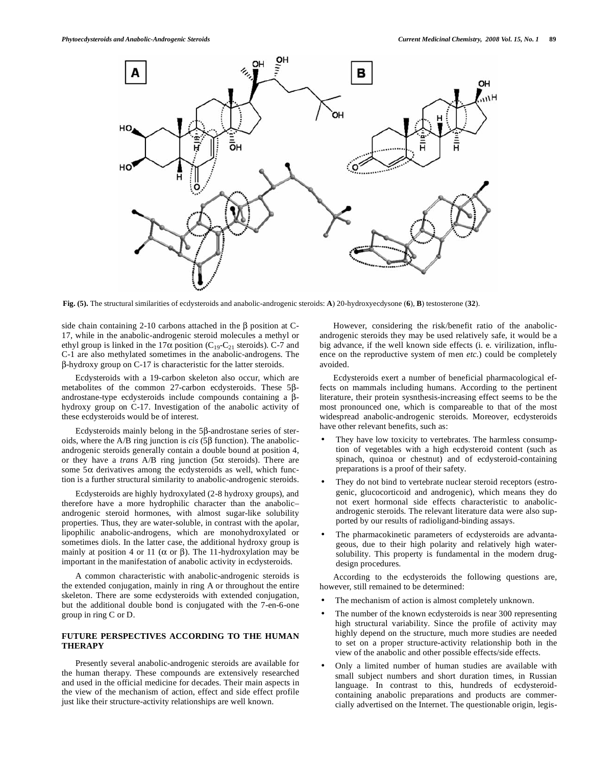

**Fig. (5).** The structural similarities of ecdysteroids and anabolic-androgenic steroids: **A**) 20-hydroxyecdysone (**6**), **B**) testosterone (**32**).

side chain containing 2-10 carbons attached in the  $\beta$  position at C-17, while in the anabolic-androgenic steroid molecules a methyl or ethyl group is linked in the 17 $\alpha$  position (C<sub>19</sub>-C<sub>21</sub> steroids). C-7 and C-1 are also methylated sometimes in the anabolic-androgens. The  $\beta$ -hydroxy group on C-17 is characteristic for the latter steroids.

Ecdysteroids with a 19-carbon skeleton also occur, which are metabolites of the common 27-carbon ecdysteroids. These  $5\beta$ androstane-type ecdysteroids include compounds containing a  $\beta$ hydroxy group on C-17. Investigation of the anabolic activity of these ecdysteroids would be of interest.

Ecdysteroids mainly belong in the  $5\beta$ -androstane series of steroids, where the  $A/B$  ring junction is *cis* (5 $\beta$  function). The anabolicandrogenic steroids generally contain a double bound at position 4, or they have a *trans* A/B ring junction (5 $\alpha$  steroids). There are some  $5\alpha$  derivatives among the ecdysteroids as well, which function is a further structural similarity to anabolic-androgenic steroids.

Ecdysteroids are highly hydroxylated (2-8 hydroxy groups), and therefore have a more hydrophilic character than the anabolic– androgenic steroid hormones, with almost sugar-like solubility properties. Thus, they are water-soluble, in contrast with the apolar, lipophilic anabolic-androgens, which are monohydroxylated or sometimes diols. In the latter case, the additional hydroxy group is mainly at position 4 or 11 ( $\alpha$  or  $\beta$ ). The 11-hydroxylation may be important in the manifestation of anabolic activity in ecdysteroids.

A common characteristic with anabolic-androgenic steroids is the extended conjugation, mainly in ring A or throughout the entire skeleton. There are some ecdysteroids with extended conjugation, but the additional double bond is conjugated with the 7-en-6-one group in ring C or D.

# **FUTURE PERSPECTIVES ACCORDING TO THE HUMAN THERAPY**

Presently several anabolic-androgenic steroids are available for the human therapy. These compounds are extensively researched and used in the official medicine for decades. Their main aspects in the view of the mechanism of action, effect and side effect profile just like their structure-activity relationships are well known.

However, considering the risk/benefit ratio of the anabolicandrogenic steroids they may be used relatively safe, it would be a big advance, if the well known side effects (i. e. virilization, influence on the reproductive system of men *etc.*) could be completely avoided.

Ecdysteroids exert a number of beneficial pharmacological effects on mammals including humans. According to the pertinent literature, their protein sysnthesis-increasing effect seems to be the most pronounced one, which is compareable to that of the most widespread anabolic-androgenic steroids. Moreover, ecdysteroids have other relevant benefits, such as:

- They have low toxicity to vertebrates. The harmless consumption of vegetables with a high ecdysteroid content (such as spinach, quinoa or chestnut) and of ecdysteroid-containing preparations is a proof of their safety.
- They do not bind to vertebrate nuclear steroid receptors (estrogenic, glucocorticoid and androgenic), which means they do not exert hormonal side effects characteristic to anabolicandrogenic steroids. The relevant literature data were also supported by our results of radioligand-binding assays.
- The pharmacokinetic parameters of ecdysteroids are advantageous, due to their high polarity and relatively high watersolubility. This property is fundamental in the modern drugdesign procedures.

According to the ecdysteroids the following questions are, however, still remained to be determined:

- The mechanism of action is almost completely unknown.
- The number of the known ecdysteroids is near 300 representing high structural variability. Since the profile of activity may highly depend on the structure, much more studies are needed to set on a proper structure-activity relationship both in the view of the anabolic and other possible effects/side effects.
- Only a limited number of human studies are available with small subject numbers and short duration times, in Russian language. In contrast to this, hundreds of ecdysteroidcontaining anabolic preparations and products are commercially advertised on the Internet. The questionable origin, legis-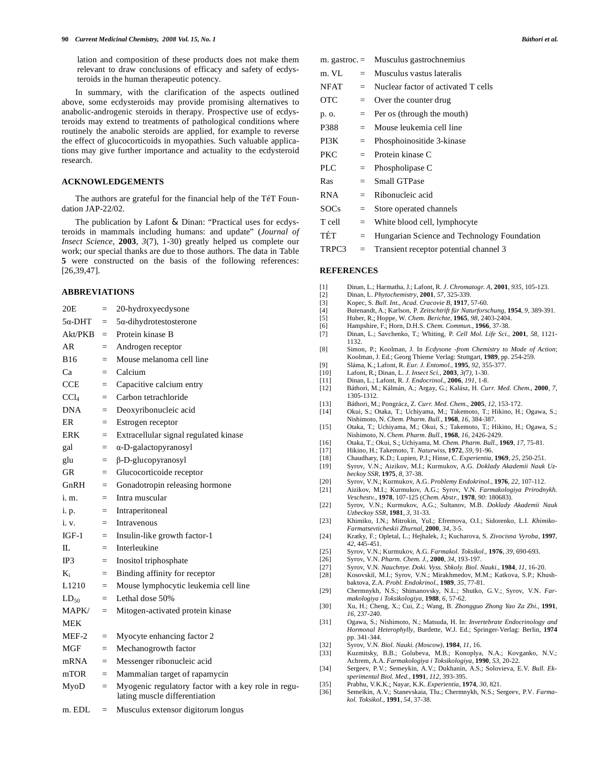lation and composition of these products does not make them relevant to draw conclusions of efficacy and safety of ecdysteroids in the human therapeutic potency.

In summary, with the clarification of the aspects outlined above, some ecdysteroids may provide promising alternatives to anabolic-androgenic steroids in therapy. Prospective use of ecdysteroids may extend to treatments of pathological conditions where routinely the anabolic steroids are applied, for example to reverse the effect of glucocorticoids in myopathies. Such valuable applications may give further importance and actuality to the ecdysteroid research.

# **ACKNOWLEDGEMENTS**

The authors are grateful for the financial help of the TéT Foundation JAP-22/02.

The publication by Lafont & Dinan: "Practical uses for ecdysteroids in mammals including humans: and update" (*Journal of Insect Science,* **2003**, *3*(7), 1-30) greatly helped us complete our work; our special thanks are due to those authors. The data in Table **5** were constructed on the basis of the following references: [26,39,47].

# **ABBREVIATIONS**

| 20E              | $=$ | 20-hydroxyecdysone                                                                   |
|------------------|-----|--------------------------------------------------------------------------------------|
| 5α-DHT           | $=$ | $5\alpha$ -dihydrotestosterone                                                       |
| Akt/PKB          | $=$ | Protein kinase B                                                                     |
| AR               | $=$ | Androgen receptor                                                                    |
| <b>B16</b>       | $=$ | Mouse melanoma cell line                                                             |
| Ca               | $=$ | Calcium                                                                              |
| <b>CCE</b>       | $=$ | Capacitive calcium entry                                                             |
| CCl <sub>4</sub> | $=$ | Carbon tetrachloride                                                                 |
| <b>DNA</b>       | $=$ | Deoxyribonucleic acid                                                                |
| ER               | $=$ | Estrogen receptor                                                                    |
| <b>ERK</b>       | $=$ | Extracellular signal regulated kinase                                                |
| gal              | $=$ | α-D-galactopyranosyl                                                                 |
| glu              | $=$ | $\beta$ -D-glucopyranosyl                                                            |
| GR               | $=$ | Glucocorticoide receptor                                                             |
| GnRH             | $=$ | Gonadotropin releasing hormone                                                       |
| i. m.            | $=$ | Intra muscular                                                                       |
| i. p.            | $=$ | Intraperitoneal                                                                      |
| i. v.            | $=$ | Intravenous                                                                          |
| $IGF-1$          | $=$ | Insulin-like growth factor-1                                                         |
| П.               | $=$ | Interleukine                                                                         |
| IP <sub>3</sub>  | $=$ | Inositol triphosphate                                                                |
| $K_i$            | $=$ | Binding affinity for receptor                                                        |
| L1210            | $=$ | Mouse lymphocytic leukemia cell line                                                 |
| $LD_{50}$        | $=$ | Lethal dose 50%                                                                      |
| MAPK/            | $=$ | Mitogen-activated protein kinase                                                     |
| <b>MEK</b>       |     |                                                                                      |
| MEF-2            | $=$ | Myocyte enhancing factor 2                                                           |
| MGF              | $=$ | Mechanogrowth factor                                                                 |
| mRNA             | $=$ | Messenger ribonucleic acid                                                           |
| mTOR             | $=$ | Mammalian target of rapamycin                                                        |
| MyoD             | $=$ | Myogenic regulatory factor with a key role in regu-<br>lating muscle differentiation |
|                  |     |                                                                                      |

| m. EDL |  |  |  | Musculus extensor digitorum longus |  |
|--------|--|--|--|------------------------------------|--|
|--------|--|--|--|------------------------------------|--|

|                  |                 | $m.$ gastroc. $=$ Musculus gastrochnemius   |
|------------------|-----------------|---------------------------------------------|
| m. VL            | $=$             | Musculus vastus lateralis                   |
| <b>NFAT</b>      | $=$             | Nuclear factor of activated T cells         |
| OTC              | $=$             | Over the counter drug                       |
| p. o.            | $=$             | Per os (through the mouth)                  |
| P388             | $=$             | Mouse leukemia cell line                    |
| PI3K             | $\quad \  \  =$ | Phosphoinositide 3-kinase                   |
| PKC              | $=$             | Protein kinase C                            |
| PLC              | $=$             | Phospholipase C                             |
| Ras              | $=$             | <b>Small GTPase</b>                         |
| RNA              | $=$             | Ribonucleic acid                            |
| SOC <sub>s</sub> | $=$             | Store operated channels                     |
| T cell           | $=$             | White blood cell, lymphocyte                |
| TÉT              | $=$             | Hungarian Science and Technology Foundation |

TRPC3 = Transient receptor potential channel 3

#### **REFERENCES**

- [1] Dinan, L.; Harmatha, J.; Lafont, R. *J. Chromatogr. A*, **2001**, *935*, 105-123.
- [2] Dinan, L. *Phytochemistry*, **2001**, *57*, 325-339.
- [3] Kopec, S. *Bull. Int., Acad. Cracovie B*, **1917**, 57-60.
- [4] Butenandt, A.; Karlson, P. *Zeitschtrift für Naturforschung*, **1954**, *9*, 389-391.
- [5] Huber, R.; Hoppe, W. *Chem. Berichte*, **1965**, *98*, 2403-2404.
- [6] Hampshire, F.; Horn, D.H.S. *Chem. Commun.*, **1966**, 37-38.
- [7] Dinan, L.; Savchenko, T.; Whiting, P. *Cell Mol. Life Sci.*, **2001**, *58*, 1121- 1132.
- [8] Simon, P.; Koolman, J. In *Ecdysone -from Chemistry to Mode of Action*; Koolman, J. Ed.; Georg Thieme Verlag: Stuttgart, **1989**, pp. 254-259.
- [9] Sláma, K.; Lafont, R. *Eur. J. Entomol.*, **1995**, *92*, 355-377.
- [10] Lafont, R.; Dinan, L. *J. Insect Sci.*, **2003**, *3(*7*),* 1-30.
- [11] Dinan, L.; Lafont, R. *J. Endocrinol.*, **2006**, *191*, 1-8.
- [12] Báthori, M.; Kálmán, A.; Argay, G.; Kalász, H. *Curr. Med. Chem.*, **2000***, 7*, 1305-1312.
- [13] Báthori, M.; Pongrácz, Z. *Curr. Med. Chem.*, **2005***, 12*, 153-172.
- [14] Okui, S.; Otaka, T.; Uchiyama, M.; Takemoto, T.; Hikino, H.; Ogawa, S.; Nishimoto, N. *Chem. Pharm. Bull.*, **1968**, *16*, 384-387.
- [15] Otaka, T.; Uchiyama, M.; Okui, S.; Takemoto, T.; Hikino, H.; Ogawa, S.; Nishimoto, N. *Chem. Pharm. Bull.*, **1968**, *16*, 2426-2429.
- [16] Otaka, T.; Okui, S.; Uchiyama, M. *Chem. Pharm. Bull.*, **1969**, *17*, 75-81.
- [17] Hikino, H.; Takemoto, T. *Naturwiss*, **1972**, *59*, 91-96.
- [18] Chaudhary, K.D.; Lupien, P.J.; Hinse, C. *Experientia*, **1969**, *25*, 250-251.
- [19] Syrov, V.N.; Aizikov, M.I.; Kurmukov, A.G. *Doklady Akademii Nauk Uzbeckoy SSR*, **1975**, *8*, 37-38.
- 
- [20] Syrov, V.N.; Kurmukov, A.G. *Problemy Endokrinol.*, **1976**, *22*, 107-112. [21] Aizikov, M.I.; Kurmukov, A.G.; Syrov, V.N. *Farmakologiya Prirodnykh. Veschestv.*, **1978**, 107-125 (*Chem. Abstr.,* **1978**, *90*: 180683).
- [22] Syrov, V.N.; Kurmukov, A.G.; Sultanov, M.B. *Doklady Akademii Nauk Uzbeckoy SSR*, **1981**, *3*, 31-33.
- [23] Khimiko, I.N.; Mitrokin, YuI.; Efremova, O.I.; Sidorenko, L.I. *Khimiko-Farmatsevticheskii Zhurnal*, **2000**, *34*, 3-5.
- [24] Kratky, F.; Opletal, L.; Hejhalek, J.; Kucharova, S. *Zivocisna Vyroba*, **1997**, *42*, 445-451.
- [25] Syrov, V.N.; Kurmukov, A.G. *Farmakol. Toksikol.*, **1976**, *39*, 690-693.
- [26] Syrov, V.N. *Pharm. Chem. J.*, **2000**, *34*, 193-197.
- [27] Syrov, V.N. *Nauchnye. Doki. Vyss. Shkoly. Biol. Nauki.*, **1984**, *11*, 16-20.
- [28] Kosovski, M.I.; Syrov, V.N.; Mirakhmedov, M.M.; Katkova, S.P.; Khushbaktova, Z.A. *Probl. Endokrinol.*, **1989**, *35*, 77-81.
- [29] Chermnykh, N.S.; Shimanovsky, N.L.; Shutko, G.V.; Syrov, V.N. *Far-makologiya i Toksikologiya*, **1988**, *6*, 57-62.
- [30] Xu, H.; Cheng, X.; Cui, Z.; Wang, B. *Zhongguo Zhong Yao Za Zhi.*, **1991**, *16*, 237-240.
- [31] Ogawa, S.; Nishimoto, N.; Matsuda, H. In: *Invertebrate Endocrinology and Hormonal Heterophylly*, Burdette, W.J. Ed.; Springer-Verlag: Berlin, **1974** pp. 341-344.
- [32] Syrov, V.N. *Biol. Nauki. (Moscow)*, **1984**, *11*, 16.
- Kuzmitsky, B.B.; Golubeva, M.B.; Konoplya, N.A.; Kovganko, N.V.; Achrem, A.A. *Farmakologiya i Toksikologiya*, **1990**, *53*, 20-22.
- [34] Sergeev, P.V.; Semeykin, A.V.; Dukhanin, A.S.; Solovieva, E.V. *Bull. Eksperimental Biol. Med.*, **1991**, *112*, 393-395.
- [35] Prabhu, V.K.K.; Nayar, K.K. *Experientia*, **1974**, *30*, 821.
- Semeĭkin, A.V.; Stanevskaia, TIu.; Chermnykh, N.S.; Sergeev, P.V. *Farmakol. Toksikol.*, **1991**, *54*, 37-38.